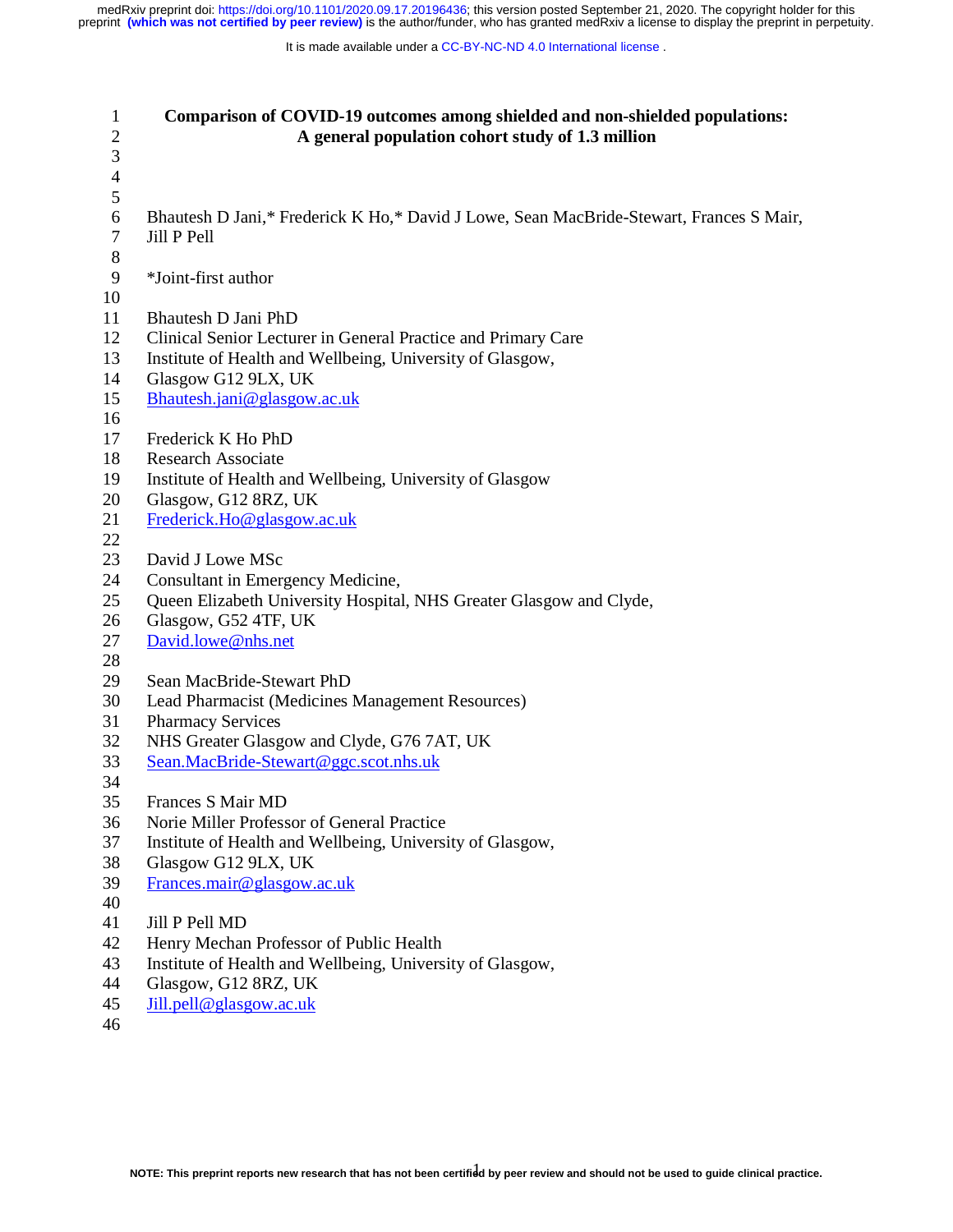| $\mathbf{1}$<br>$\sqrt{2}$ | Comparison of COVID-19 outcomes among shielded and non-shielded populations:<br>A general population cohort study of 1.3 million |
|----------------------------|----------------------------------------------------------------------------------------------------------------------------------|
| 3                          |                                                                                                                                  |
| $\overline{4}$             |                                                                                                                                  |
| 5                          |                                                                                                                                  |
| $\boldsymbol{6}$           | Bhautesh D Jani,* Frederick K Ho,* David J Lowe, Sean MacBride-Stewart, Frances S Mair,                                          |
| 7                          | Jill P Pell                                                                                                                      |
| $8\,$                      |                                                                                                                                  |
| 9                          | *Joint-first author                                                                                                              |
| 10                         |                                                                                                                                  |
| 11                         | Bhautesh D Jani PhD                                                                                                              |
| 12                         | Clinical Senior Lecturer in General Practice and Primary Care                                                                    |
| 13                         | Institute of Health and Wellbeing, University of Glasgow,                                                                        |
| 14                         | Glasgow G12 9LX, UK                                                                                                              |
| 15                         | Bhautesh.jani@glasgow.ac.uk                                                                                                      |
| 16                         |                                                                                                                                  |
| 17                         | Frederick K Ho PhD                                                                                                               |
| 18                         | <b>Research Associate</b>                                                                                                        |
| 19                         | Institute of Health and Wellbeing, University of Glasgow                                                                         |
| 20                         | Glasgow, G12 8RZ, UK                                                                                                             |
| 21                         | Frederick.Ho@glasgow.ac.uk                                                                                                       |
| 22                         |                                                                                                                                  |
| 23                         | David J Lowe MSc                                                                                                                 |
| 24                         | Consultant in Emergency Medicine,                                                                                                |
| 25                         | Queen Elizabeth University Hospital, NHS Greater Glasgow and Clyde,                                                              |
| 26                         | Glasgow, G52 4TF, UK                                                                                                             |
| 27                         | David.lowe@nhs.net                                                                                                               |
| 28                         |                                                                                                                                  |
| 29                         | Sean MacBride-Stewart PhD                                                                                                        |
| 30                         | Lead Pharmacist (Medicines Management Resources)                                                                                 |
| 31                         | <b>Pharmacy Services</b>                                                                                                         |
| 32                         | NHS Greater Glasgow and Clyde, G76 7AT, UK                                                                                       |
| 33                         | Sean.MacBride-Stewart@ggc.scot.nhs.uk                                                                                            |
| 34                         |                                                                                                                                  |
| 35                         | Frances S Mair MD                                                                                                                |
| 36                         | Norie Miller Professor of General Practice                                                                                       |
| 37                         | Institute of Health and Wellbeing, University of Glasgow,                                                                        |
| 38                         | Glasgow G12 9LX, UK                                                                                                              |
| 39                         | Frances.mair@glasgow.ac.uk                                                                                                       |
| 40<br>41                   | Jill P Pell MD                                                                                                                   |
| 42                         |                                                                                                                                  |
| 43                         | Henry Mechan Professor of Public Health                                                                                          |
|                            | Institute of Health and Wellbeing, University of Glasgow,                                                                        |
| 44                         | Glasgow, G12 8RZ, UK                                                                                                             |

- 45 Jill.pell@glasgow.ac.uk
- 46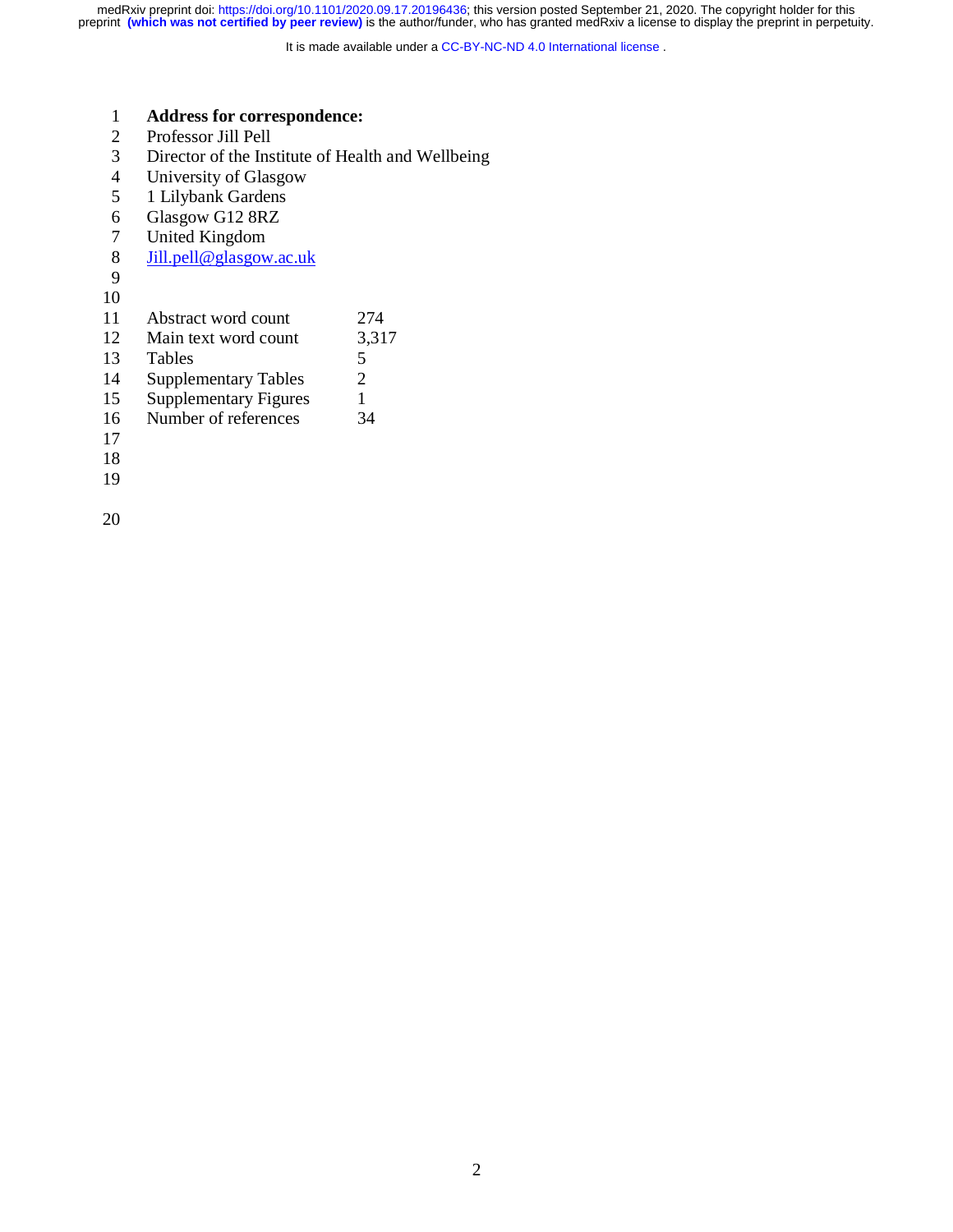It is made available under a CC-BY-NC-ND 4.0 International license.

### 1 **Address for correspondence:**

- 2 Professor Jill Pell
- Director of the Institute of Health and Wellbeing
- 4 University of Glasgow<br>5 1 Lilybank Gardens
- 5 1 Lilybank Gardens<br>6 Glasgow G12 8RZ
- 6 Glasgow G12 8RZ<br>7 United Kingdom
- United Kingdom
- 8 Jill.pell@glasgow.ac.uk
- 9
- 10
- 11 Abstract word count 274
- 12 Main text word count 3,317
- 13 Tables 5
- 14 Supplementary Tables 2
- 15 Supplementary Figures 1
- 16 Number of references 34
- 17
- 18
- 19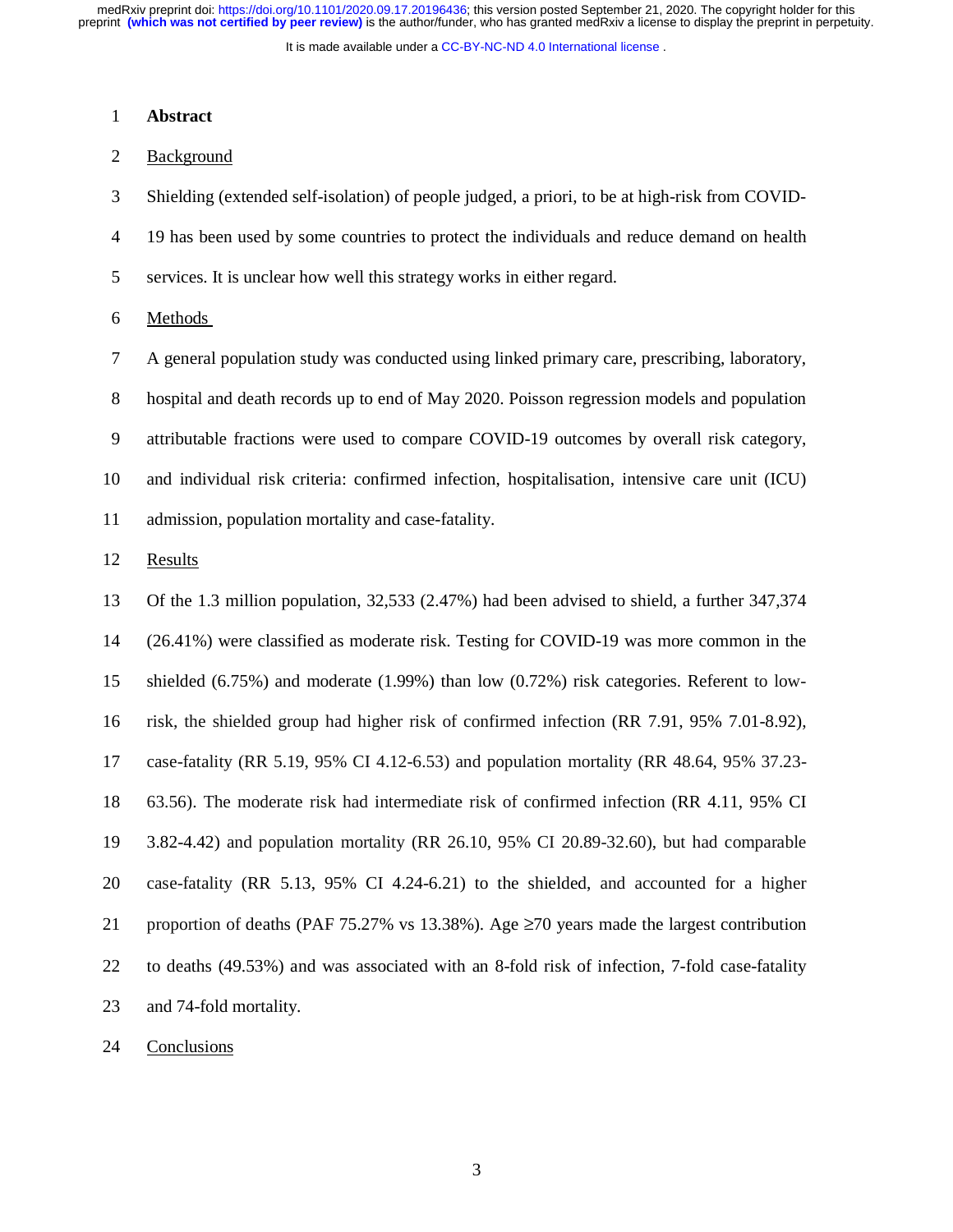It is made available under a [CC-BY-NC-ND 4.0 International license](http://creativecommons.org/licenses/by-nc-nd/4.0/) .

#### 1 **Abstract**

### 2 Background

3 Shielding (extended self-isolation) of people judged, a priori, to be at high-risk from COVID-

4 19 has been used by some countries to protect the individuals and reduce demand on health

5 services. It is unclear how well this strategy works in either regard.

6 Methods

7 A general population study was conducted using linked primary care, prescribing, laboratory,

8 hospital and death records up to end of May 2020. Poisson regression models and population

9 attributable fractions were used to compare COVID-19 outcomes by overall risk category,

10 and individual risk criteria: confirmed infection, hospitalisation, intensive care unit (ICU)

11 admission, population mortality and case-fatality.

12 Results

13 Of the 1.3 million population, 32,533 (2.47%) had been advised to shield, a further 347,374 14 (26.41%) were classified as moderate risk. Testing for COVID-19 was more common in the 15 shielded (6.75%) and moderate (1.99%) than low (0.72%) risk categories. Referent to low-16 risk, the shielded group had higher risk of confirmed infection (RR 7.91, 95% 7.01-8.92), 17 case-fatality (RR 5.19, 95% CI 4.12-6.53) and population mortality (RR 48.64, 95% 37.23- 18 63.56). The moderate risk had intermediate risk of confirmed infection (RR 4.11, 95% CI 19 3.82-4.42) and population mortality (RR 26.10, 95% CI 20.89-32.60), but had comparable 20 case-fatality (RR 5.13, 95% CI 4.24-6.21) to the shielded, and accounted for a higher 21 proportion of deaths (PAF 75.27% vs 13.38%). Age ≥70 years made the largest contribution 22 to deaths (49.53%) and was associated with an 8-fold risk of infection, 7-fold case-fatality 23 and 74-fold mortality.

24 Conclusions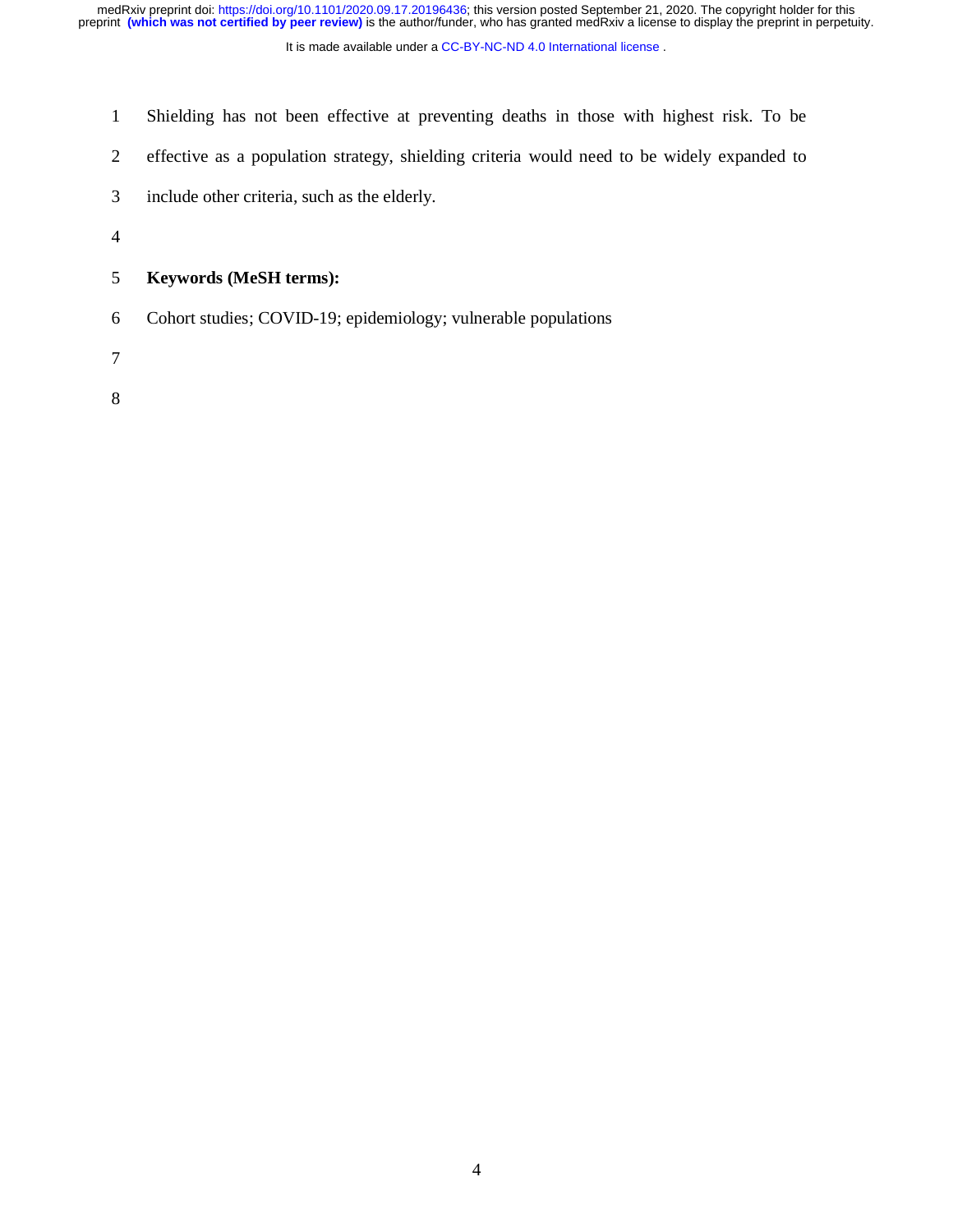It is made available under a [CC-BY-NC-ND 4.0 International license](http://creativecommons.org/licenses/by-nc-nd/4.0/) .

- 1 Shielding has not been effective at preventing deaths in those with highest risk. To be
- 2 effective as a population strategy, shielding criteria would need to be widely expanded to
- 3 include other criteria, such as the elderly.
- 4

# 5 **Keywords (MeSH terms):**

- 6 Cohort studies; COVID-19; epidemiology; vulnerable populations
- 7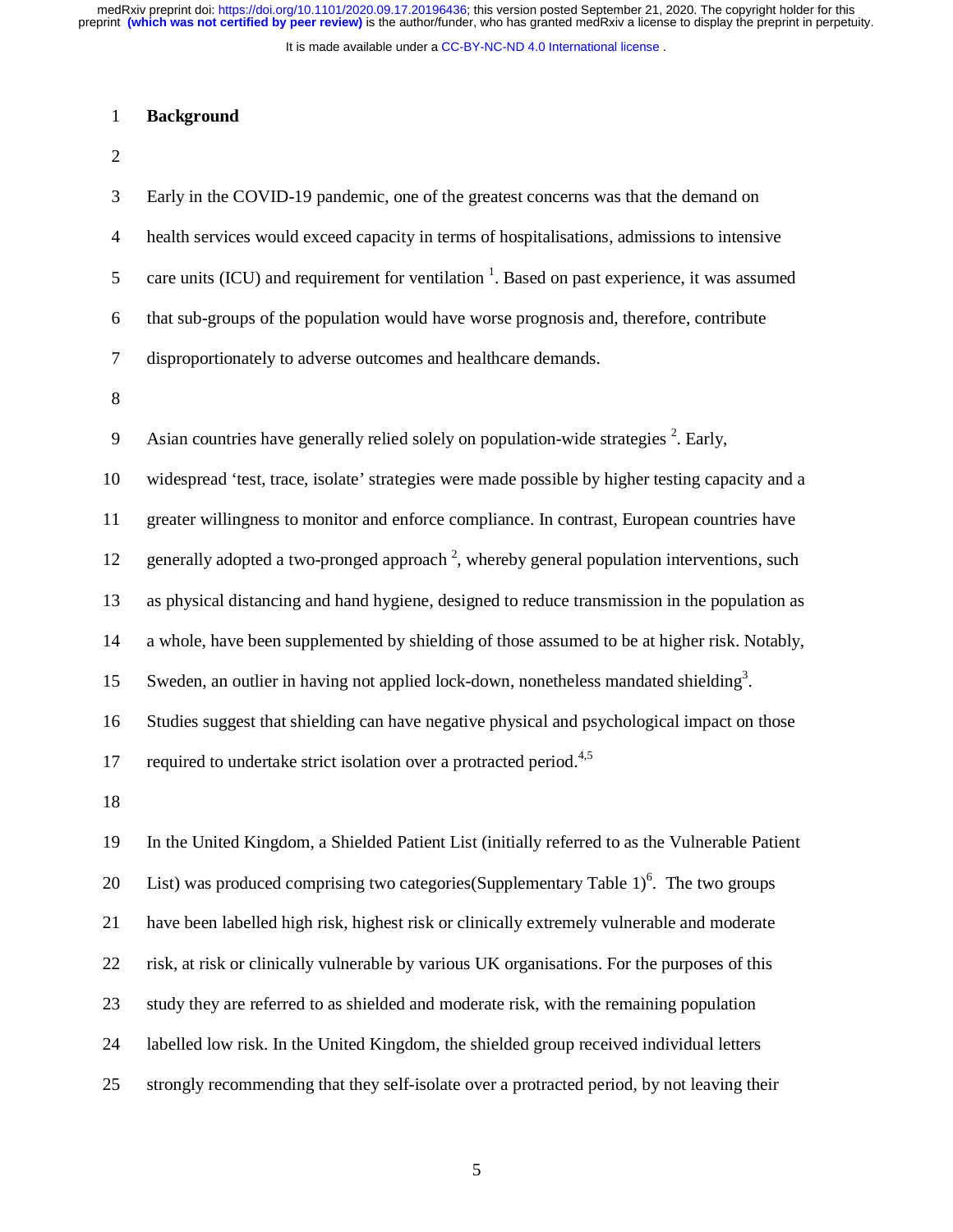It is made available under a CC-BY-NC-ND 4.0 International license.

#### 1 **Background**

2

| 3              | Early in the COVID-19 pandemic, one of the greatest concerns was that the demand on                      |
|----------------|----------------------------------------------------------------------------------------------------------|
| $\overline{4}$ | health services would exceed capacity in terms of hospitalisations, admissions to intensive              |
| 5              | care units (ICU) and requirement for ventilation <sup>1</sup> . Based on past experience, it was assumed |
| 6              | that sub-groups of the population would have worse prognosis and, therefore, contribute                  |
| 7              | disproportionately to adverse outcomes and healthcare demands.                                           |
| $8\,$          |                                                                                                          |
| 9              | Asian countries have generally relied solely on population-wide strategies <sup>2</sup> . Early,         |
| 10             | widespread 'test, trace, isolate' strategies were made possible by higher testing capacity and a         |
| 11             | greater willingness to monitor and enforce compliance. In contrast, European countries have              |
| 12             | generally adopted a two-pronged approach $2$ , whereby general population interventions, such            |
| 13             | as physical distancing and hand hygiene, designed to reduce transmission in the population as            |
| 14             | a whole, have been supplemented by shielding of those assumed to be at higher risk. Notably,             |
| 15             | Sweden, an outlier in having not applied lock-down, nonetheless mandated shielding <sup>3</sup> .        |
| 16             | Studies suggest that shielding can have negative physical and psychological impact on those              |
| 17             | required to undertake strict isolation over a protracted period. <sup>4,5</sup>                          |
| 18             |                                                                                                          |

19 In the United Kingdom, a Shielded Patient List (initially referred to as the Vulnerable Patient 20 List) was produced comprising two categories (Supplementary Table 1)<sup>6</sup>. The two groups 21 have been labelled high risk, highest risk or clinically extremely vulnerable and moderate 22 risk, at risk or clinically vulnerable by various UK organisations. For the purposes of this 23 study they are referred to as shielded and moderate risk, with the remaining population 24 labelled low risk. In the United Kingdom, the shielded group received individual letters 25 strongly recommending that they self-isolate over a protracted period, by not leaving their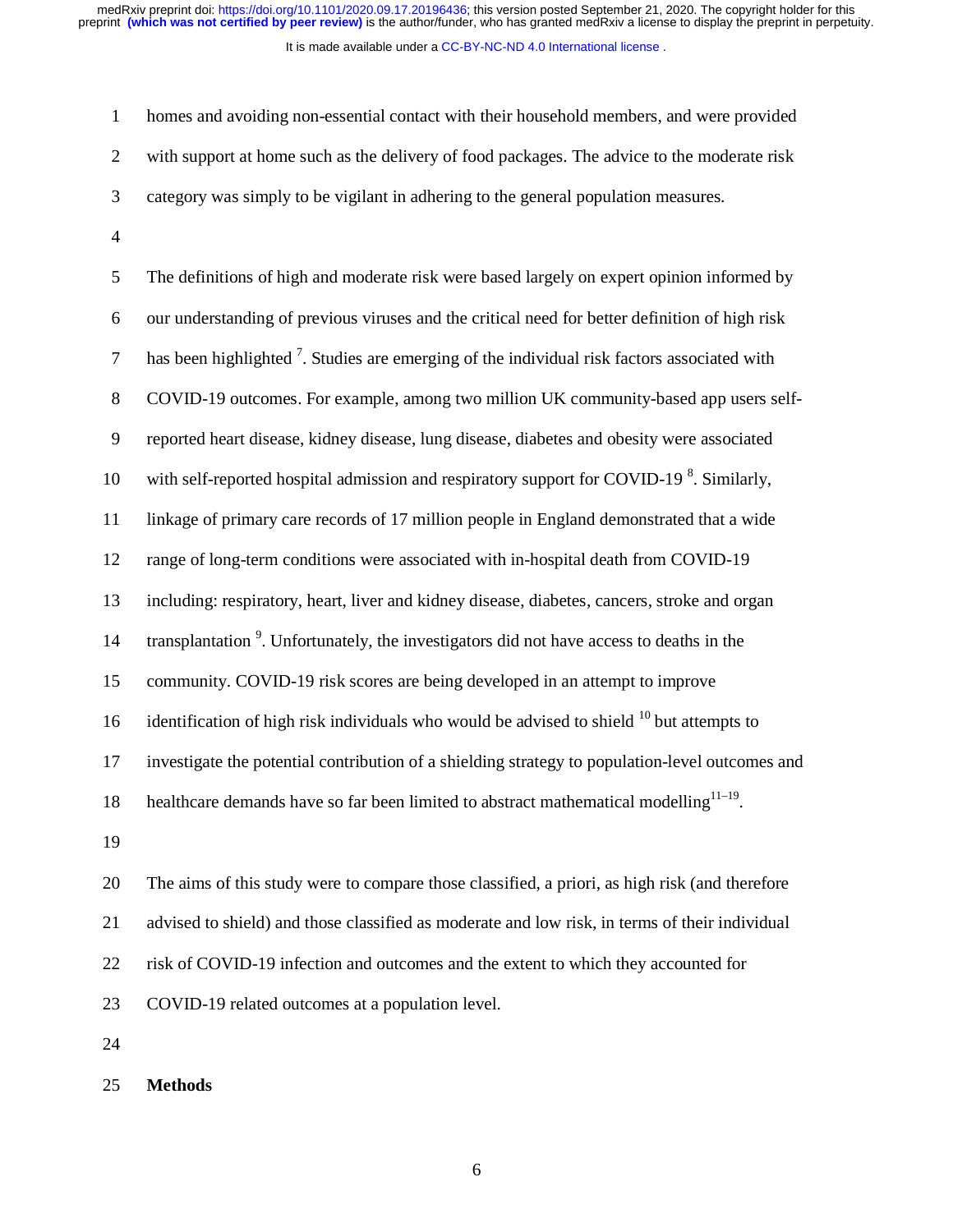It is made available under a CC-BY-NC-ND 4.0 International license.

| $\mathbf{1}$     | homes and avoiding non-essential contact with their household members, and were provided                |
|------------------|---------------------------------------------------------------------------------------------------------|
| $\overline{2}$   | with support at home such as the delivery of food packages. The advice to the moderate risk             |
| 3                | category was simply to be vigilant in adhering to the general population measures.                      |
| $\overline{4}$   |                                                                                                         |
| 5                | The definitions of high and moderate risk were based largely on expert opinion informed by              |
| 6                | our understanding of previous viruses and the critical need for better definition of high risk          |
| $\tau$           | has been highlighted <sup>7</sup> . Studies are emerging of the individual risk factors associated with |
| $8\,$            | COVID-19 outcomes. For example, among two million UK community-based app users self-                    |
| $\boldsymbol{9}$ | reported heart disease, kidney disease, lung disease, diabetes and obesity were associated              |
| 10               | with self-reported hospital admission and respiratory support for COVID-19 <sup>8</sup> . Similarly,    |
| 11               | linkage of primary care records of 17 million people in England demonstrated that a wide                |
| 12               | range of long-term conditions were associated with in-hospital death from COVID-19                      |
| 13               | including: respiratory, heart, liver and kidney disease, diabetes, cancers, stroke and organ            |
| 14               | transplantation <sup>9</sup> . Unfortunately, the investigators did not have access to deaths in the    |
| 15               | community. COVID-19 risk scores are being developed in an attempt to improve                            |
| 16               | identification of high risk individuals who would be advised to shield <sup>10</sup> but attempts to    |
| 17               | investigate the potential contribution of a shielding strategy to population-level outcomes and         |

18 healthcare demands have so far been limited to abstract mathematical modelling $11-19$ .

19

20 The aims of this study were to compare those classified, a priori, as high risk (and therefore 21 advised to shield) and those classified as moderate and low risk, in terms of their individual 22 risk of COVID-19 infection and outcomes and the extent to which they accounted for 23 COVID-19 related outcomes at a population level.

24

25 **Methods**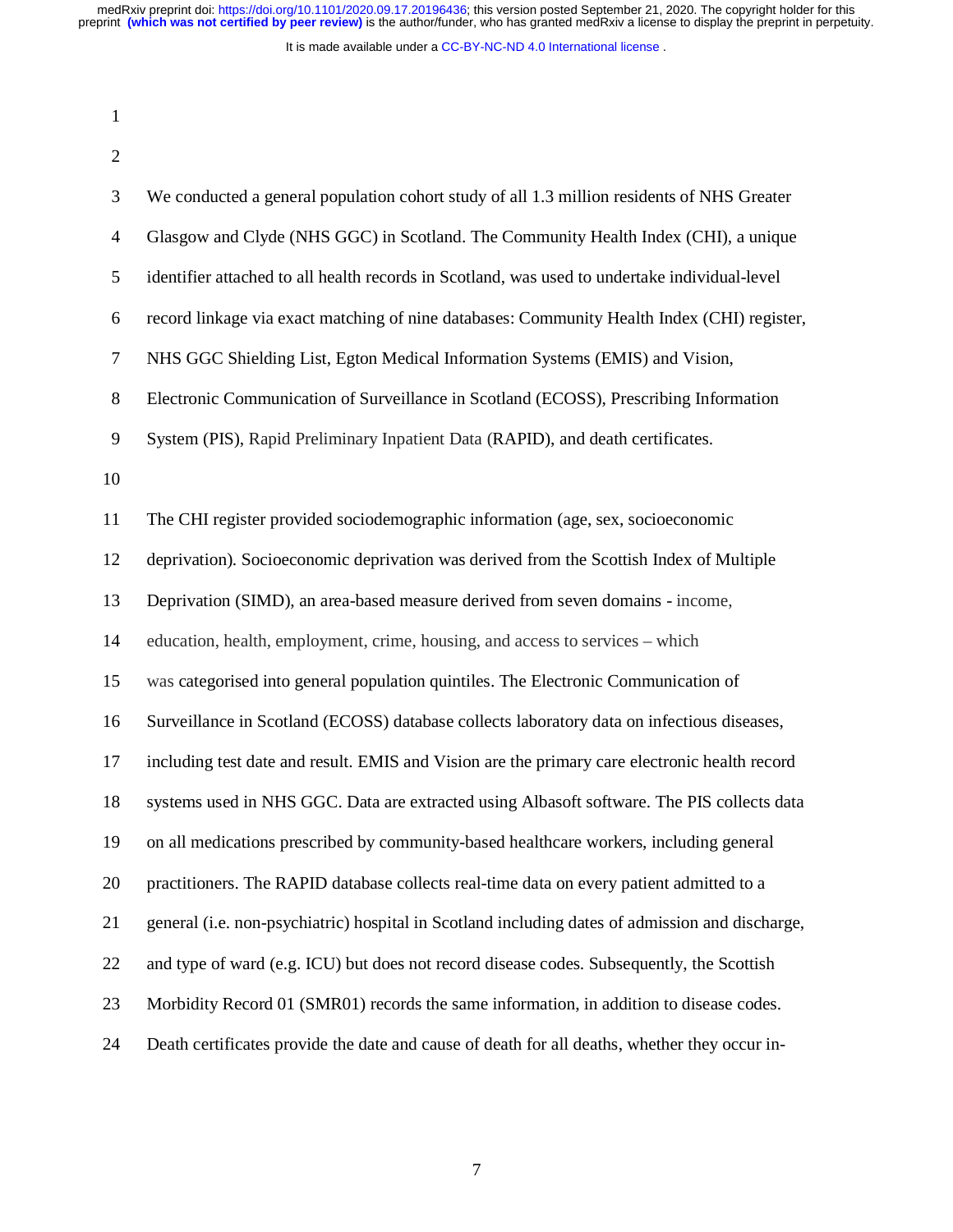It is made available under a [CC-BY-NC-ND 4.0 International license](http://creativecommons.org/licenses/by-nc-nd/4.0/) .

| ш |  |
|---|--|

2

3 We conducted a general population cohort study of all 1.3 million residents of NHS Greater 4 Glasgow and Clyde (NHS GGC) in Scotland. The Community Health Index (CHI), a unique 5 identifier attached to all health records in Scotland, was used to undertake individual-level 6 record linkage via exact matching of nine databases: Community Health Index (CHI) register, 7 NHS GGC Shielding List, Egton Medical Information Systems (EMIS) and Vision, 8 Electronic Communication of Surveillance in Scotland (ECOSS), Prescribing Information 9 System (PIS), Rapid Preliminary Inpatient Data (RAPID), and death certificates. 10 11 The CHI register provided sociodemographic information (age, sex, socioeconomic 12 deprivation). Socioeconomic deprivation was derived from the Scottish Index of Multiple 13 Deprivation (SIMD), an area-based measure derived from seven domains - income, 14 education, health, employment, crime, housing, and access to services – which 15 was categorised into general population quintiles. The Electronic Communication of 16 Surveillance in Scotland (ECOSS) database collects laboratory data on infectious diseases, 17 including test date and result. EMIS and Vision are the primary care electronic health record 18 systems used in NHS GGC. Data are extracted using Albasoft software. The PIS collects data 19 on all medications prescribed by community-based healthcare workers, including general 20 practitioners. The RAPID database collects real-time data on every patient admitted to a 21 general (i.e. non-psychiatric) hospital in Scotland including dates of admission and discharge, 22 and type of ward (e.g. ICU) but does not record disease codes. Subsequently, the Scottish 23 Morbidity Record 01 (SMR01) records the same information, in addition to disease codes. 24 Death certificates provide the date and cause of death for all deaths, whether they occur in-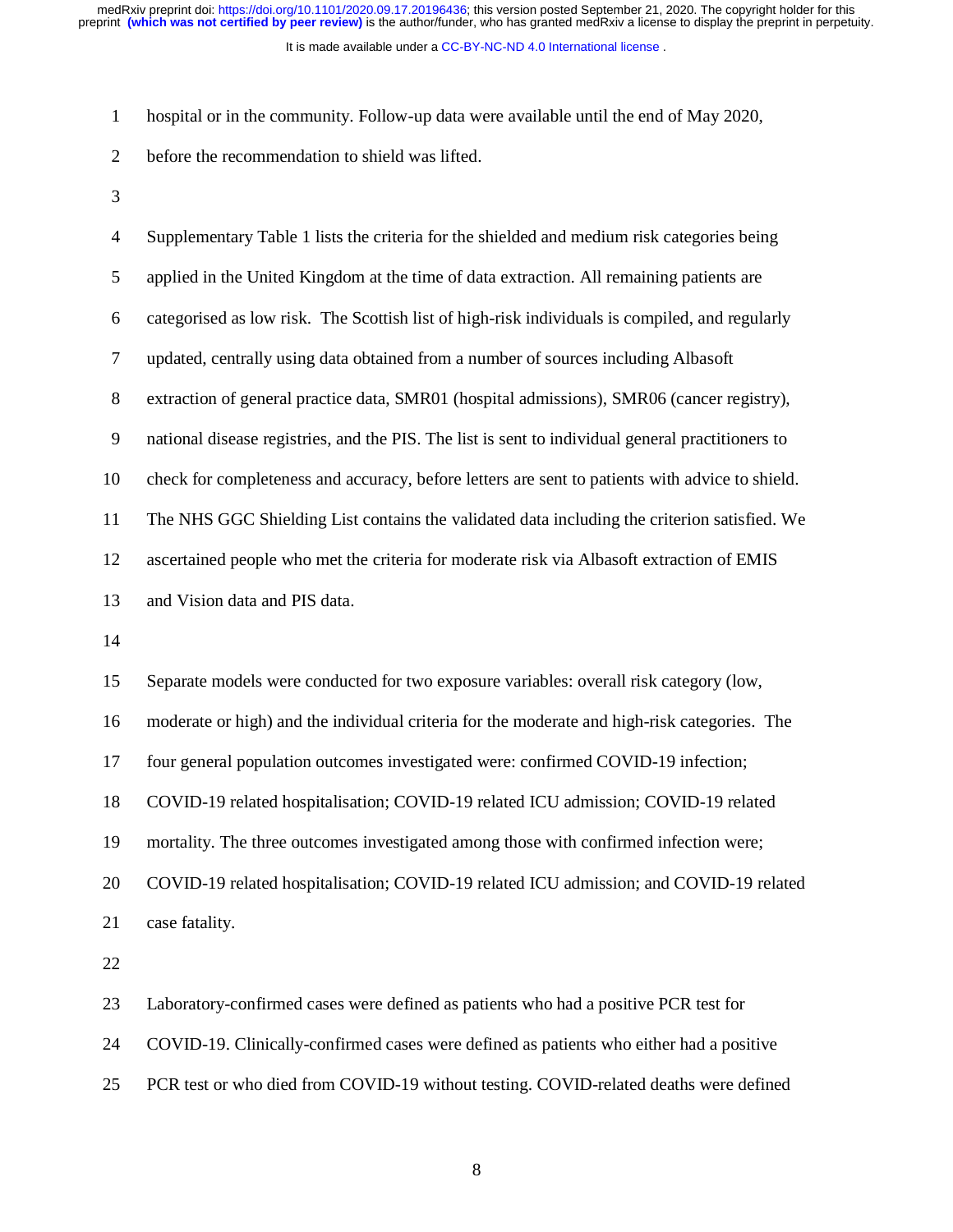It is made available under a CC-BY-NC-ND 4.0 International license. medRxiv preprint doi: [https://doi.org/10.1101/2020.09.17.20196436;](https://doi.org/10.1101/2020.09.17.20196436) this version posted September 21, 2020. The copyright holder for this<br>preprint (which was not certified by peer review) is the author/funder, who has grant

1 hospital or in the community. Follow-up data were available until the end of May 2020,

2 before the recommendation to shield was lifted.

3

| $\overline{4}$ | Supplementary Table 1 lists the criteria for the shielded and medium risk categories being        |
|----------------|---------------------------------------------------------------------------------------------------|
| 5              | applied in the United Kingdom at the time of data extraction. All remaining patients are          |
| 6              | categorised as low risk. The Scottish list of high-risk individuals is compiled, and regularly    |
| $\tau$         | updated, centrally using data obtained from a number of sources including Albasoft                |
| $8\,$          | extraction of general practice data, SMR01 (hospital admissions), SMR06 (cancer registry),        |
| $\mathbf{9}$   | national disease registries, and the PIS. The list is sent to individual general practitioners to |
| 10             | check for completeness and accuracy, before letters are sent to patients with advice to shield.   |
| 11             | The NHS GGC Shielding List contains the validated data including the criterion satisfied. We      |
| 12             | ascertained people who met the criteria for moderate risk via Albasoft extraction of EMIS         |
| 13             | and Vision data and PIS data.                                                                     |
| 14             |                                                                                                   |
| 15             | Separate models were conducted for two exposure variables: overall risk category (low,            |
| 16             | moderate or high) and the individual criteria for the moderate and high-risk categories. The      |
| 17             | four general population outcomes investigated were: confirmed COVID-19 infection;                 |
| 18             | COVID-19 related hospitalisation; COVID-19 related ICU admission; COVID-19 related                |
| 19             | mortality. The three outcomes investigated among those with confirmed infection were;             |
| 20             | COVID-19 related hospitalisation; COVID-19 related ICU admission; and COVID-19 related            |
| 21             | case fatality.                                                                                    |
| 22             |                                                                                                   |
| 23             | Laboratory-confirmed cases were defined as patients who had a positive PCR test for               |
| 24             | COVID-19. Clinically-confirmed cases were defined as patients who either had a positive           |

25 PCR test or who died from COVID-19 without testing. COVID-related deaths were defined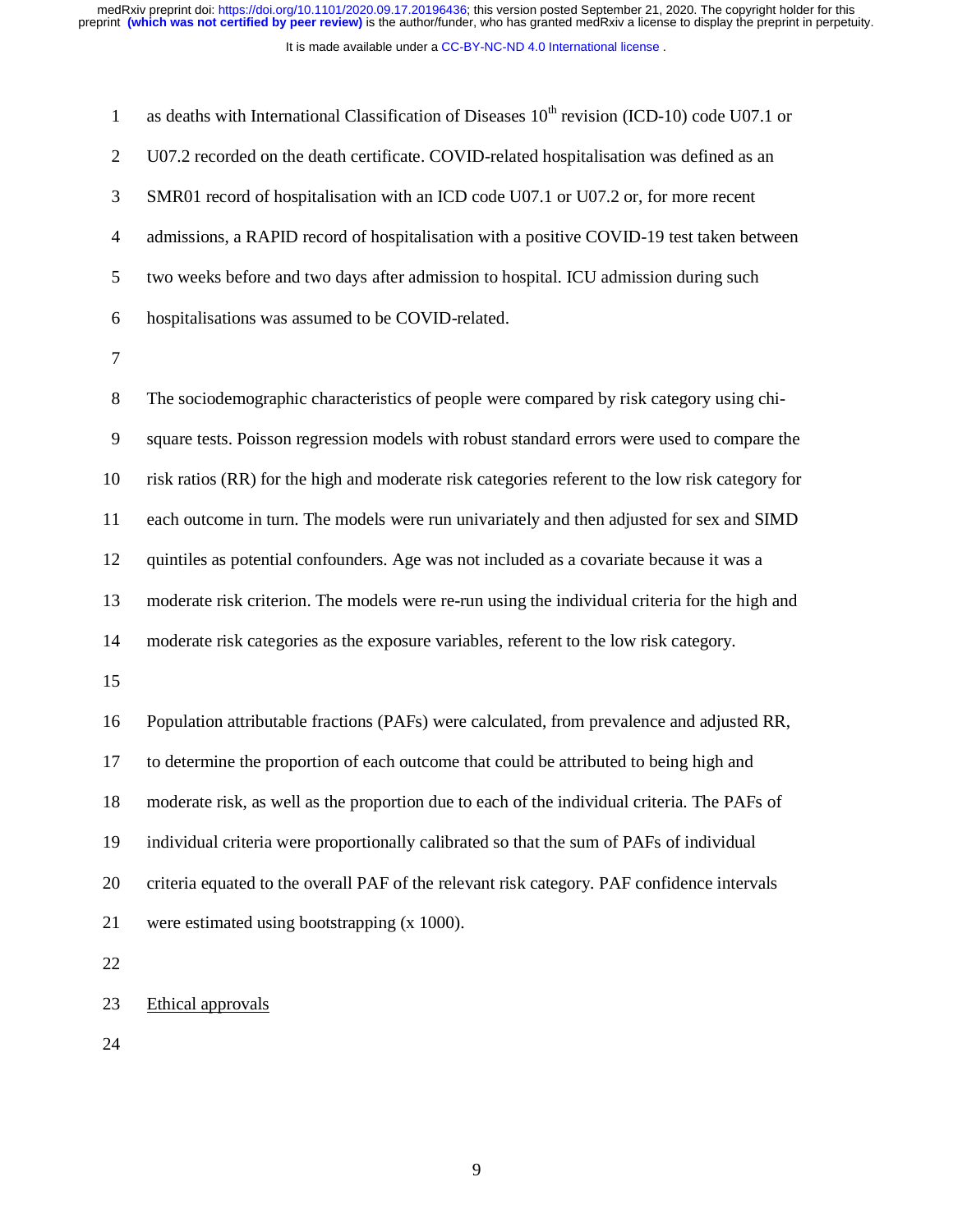It is made available under a [CC-BY-NC-ND 4.0 International license](http://creativecommons.org/licenses/by-nc-nd/4.0/) . medRxiv preprint doi: [https://doi.org/10.1101/2020.09.17.20196436;](https://doi.org/10.1101/2020.09.17.20196436) this version posted September 21, 2020. The copyright holder for this<br>preprint (which was not certified by peer review) is the author/funder, who has grant

| $\mathbf{1}$     | as deaths with International Classification of Diseases 10 <sup>th</sup> revision (ICD-10) code U07.1 or |  |  |  |
|------------------|----------------------------------------------------------------------------------------------------------|--|--|--|
| $\overline{2}$   | U07.2 recorded on the death certificate. COVID-related hospitalisation was defined as an                 |  |  |  |
| 3                | SMR01 record of hospitalisation with an ICD code U07.1 or U07.2 or, for more recent                      |  |  |  |
| $\overline{4}$   | admissions, a RAPID record of hospitalisation with a positive COVID-19 test taken between                |  |  |  |
| 5                | two weeks before and two days after admission to hospital. ICU admission during such                     |  |  |  |
| 6                | hospitalisations was assumed to be COVID-related.                                                        |  |  |  |
| 7                |                                                                                                          |  |  |  |
| $8\,$            | The sociodemographic characteristics of people were compared by risk category using chi-                 |  |  |  |
| $\boldsymbol{9}$ | square tests. Poisson regression models with robust standard errors were used to compare the             |  |  |  |
| 10               | risk ratios (RR) for the high and moderate risk categories referent to the low risk category for         |  |  |  |
| 11               | each outcome in turn. The models were run univariately and then adjusted for sex and SIMD                |  |  |  |
| 12               | quintiles as potential confounders. Age was not included as a covariate because it was a                 |  |  |  |
| 13               | moderate risk criterion. The models were re-run using the individual criteria for the high and           |  |  |  |
| 14               | moderate risk categories as the exposure variables, referent to the low risk category.                   |  |  |  |
| 15               |                                                                                                          |  |  |  |
| 16               | Population attributable fractions (PAFs) were calculated, from prevalence and adjusted RR,               |  |  |  |
| 17               | to determine the proportion of each outcome that could be attributed to being high and                   |  |  |  |
| 18               | moderate risk, as well as the proportion due to each of the individual criteria. The PAFs of             |  |  |  |
| 19               | individual criteria were proportionally calibrated so that the sum of PAFs of individual                 |  |  |  |
| 20               | criteria equated to the overall PAF of the relevant risk category. PAF confidence intervals              |  |  |  |
| 21               | were estimated using bootstrapping (x 1000).                                                             |  |  |  |
| 22               |                                                                                                          |  |  |  |
| 23               | Ethical approvals                                                                                        |  |  |  |
|                  |                                                                                                          |  |  |  |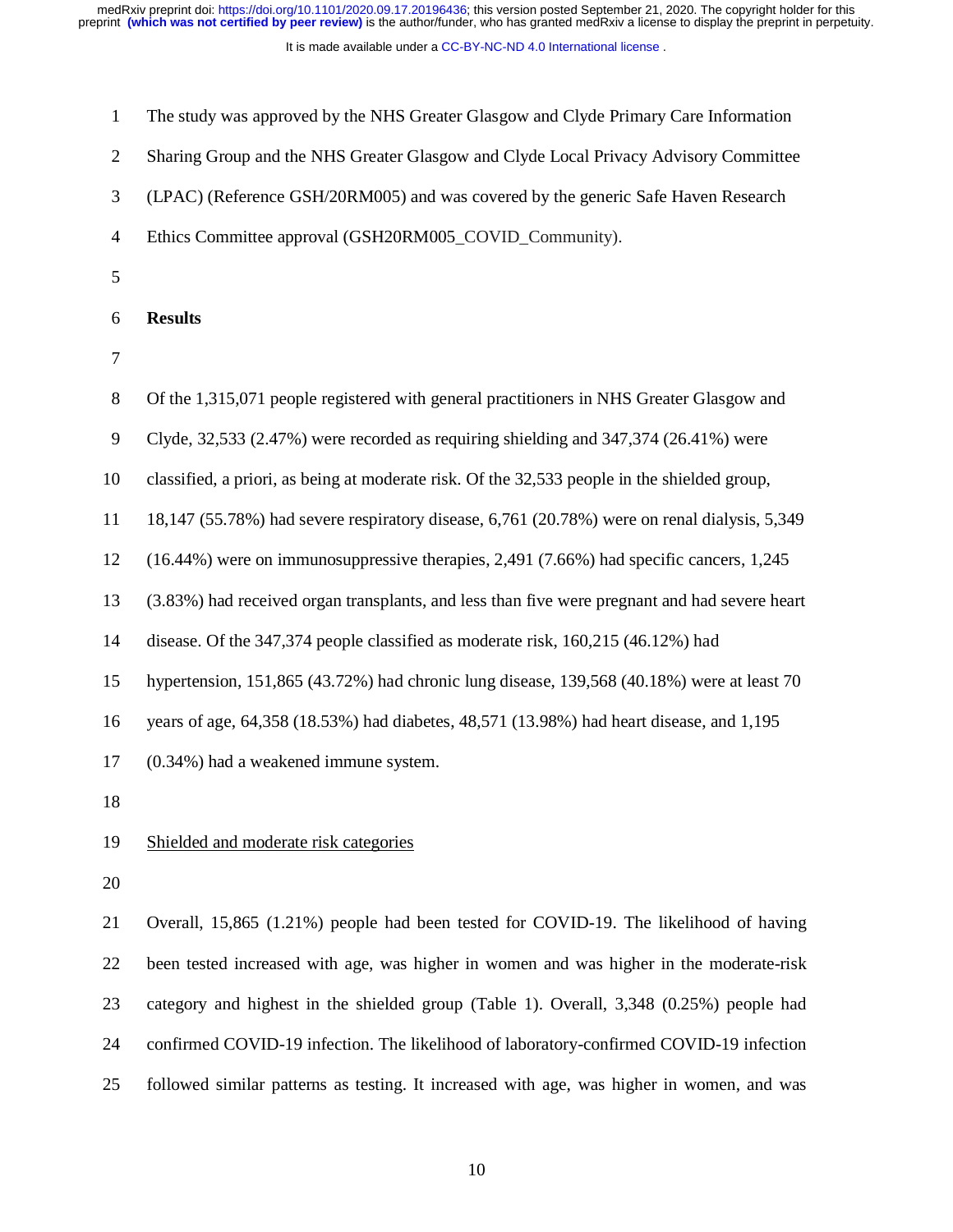It is made available under a [CC-BY-NC-ND 4.0 International license](http://creativecommons.org/licenses/by-nc-nd/4.0/) .

| $\mathbf{1}$   | The study was approved by the NHS Greater Glasgow and Clyde Primary Care Information          |
|----------------|-----------------------------------------------------------------------------------------------|
| $\mathfrak{2}$ | Sharing Group and the NHS Greater Glasgow and Clyde Local Privacy Advisory Committee          |
| 3              | (LPAC) (Reference GSH/20RM005) and was covered by the generic Safe Haven Research             |
| 4              | Ethics Committee approval (GSH20RM005_COVID_Community).                                       |
| 5              |                                                                                               |
| 6              | <b>Results</b>                                                                                |
| 7              |                                                                                               |
| 8              | Of the 1,315,071 people registered with general practitioners in NHS Greater Glasgow and      |
| 9              | Clyde, $32,533$ (2.47%) were recorded as requiring shielding and $347,374$ (26.41%) were      |
| 10             | classified, a priori, as being at moderate risk. Of the 32,533 people in the shielded group,  |
| 11             | 18,147 (55.78%) had severe respiratory disease, 6,761 (20.78%) were on renal dialysis, 5,349  |
| 12             | $(16.44%)$ were on immunosuppressive therapies, 2,491 (7.66%) had specific cancers, 1,245     |
| 13             | (3.83%) had received organ transplants, and less than five were pregnant and had severe heart |
| 14             | disease. Of the 347,374 people classified as moderate risk, 160,215 (46.12%) had              |
| 15             | hypertension, 151,865 (43.72%) had chronic lung disease, 139,568 (40.18%) were at least 70    |
| 16             | years of age, 64,358 (18.53%) had diabetes, 48,571 (13.98%) had heart disease, and 1,195      |
| 17             | (0.34%) had a weakened immune system.                                                         |
| 18             |                                                                                               |
| 19             | Shielded and moderate risk categories                                                         |
| 20             |                                                                                               |
| 21             | Overall, 15,865 (1.21%) people had been tested for COVID-19. The likelihood of having         |
| 22             | been tested increased with age, was higher in women and was higher in the moderate-risk       |
| 23             | category and highest in the shielded group (Table 1). Overall, 3,348 (0.25%) people had       |
| 24             | confirmed COVID-19 infection. The likelihood of laboratory-confirmed COVID-19 infection       |
|                |                                                                                               |

25 followed similar patterns as testing. It increased with age, was higher in women, and was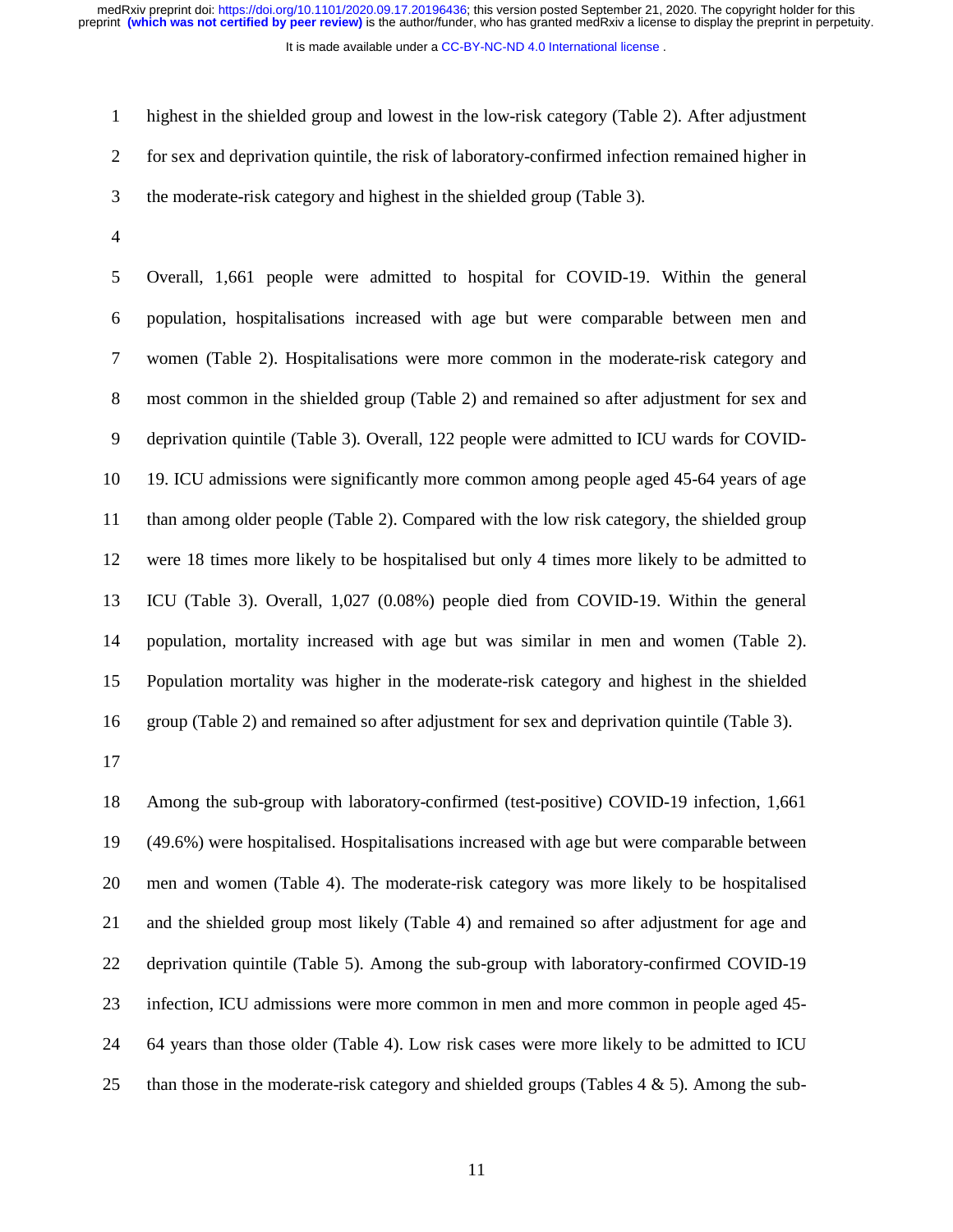It is made available under a CC-BY-NC-ND 4.0 International license.

1 highest in the shielded group and lowest in the low-risk category (Table 2). After adjustment 2 for sex and deprivation quintile, the risk of laboratory-confirmed infection remained higher in 3 the moderate-risk category and highest in the shielded group (Table 3).

4

5 Overall, 1,661 people were admitted to hospital for COVID-19. Within the general 6 population, hospitalisations increased with age but were comparable between men and 7 women (Table 2). Hospitalisations were more common in the moderate-risk category and 8 most common in the shielded group (Table 2) and remained so after adjustment for sex and 9 deprivation quintile (Table 3). Overall, 122 people were admitted to ICU wards for COVID-10 19. ICU admissions were significantly more common among people aged 45-64 years of age 11 than among older people (Table 2). Compared with the low risk category, the shielded group 12 were 18 times more likely to be hospitalised but only 4 times more likely to be admitted to 13 ICU (Table 3). Overall, 1,027 (0.08%) people died from COVID-19. Within the general 14 population, mortality increased with age but was similar in men and women (Table 2). 15 Population mortality was higher in the moderate-risk category and highest in the shielded 16 group (Table 2) and remained so after adjustment for sex and deprivation quintile (Table 3).

17

18 Among the sub-group with laboratory-confirmed (test-positive) COVID-19 infection, 1,661 19 (49.6%) were hospitalised. Hospitalisations increased with age but were comparable between 20 men and women (Table 4). The moderate-risk category was more likely to be hospitalised 21 and the shielded group most likely (Table 4) and remained so after adjustment for age and 22 deprivation quintile (Table 5). Among the sub-group with laboratory-confirmed COVID-19 23 infection, ICU admissions were more common in men and more common in people aged 45- 24 64 years than those older (Table 4). Low risk cases were more likely to be admitted to ICU 25 than those in the moderate-risk category and shielded groups (Tables  $4 \& 5$ ). Among the sub-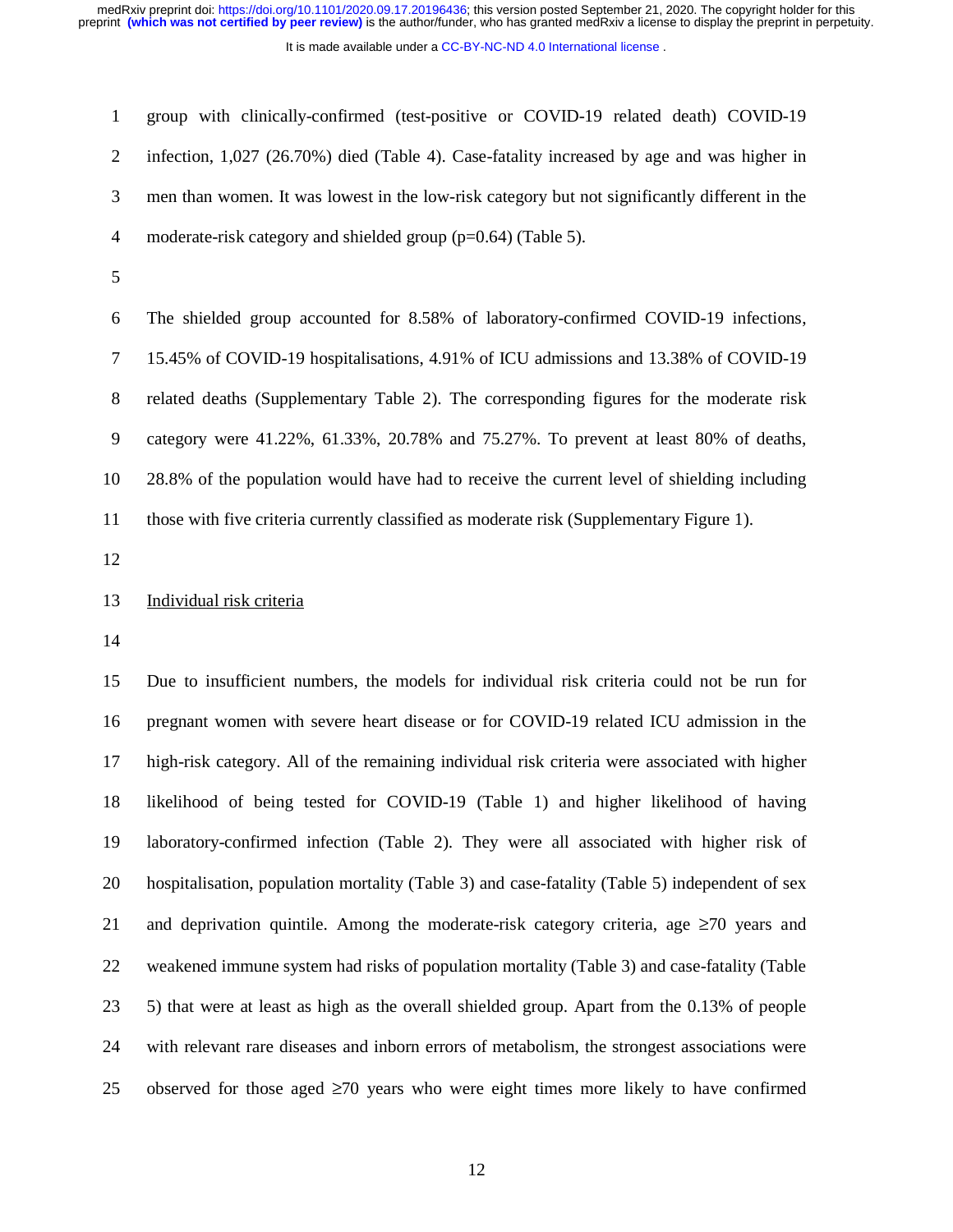It is made available under a [CC-BY-NC-ND 4.0 International license](http://creativecommons.org/licenses/by-nc-nd/4.0/) .

1 group with clinically-confirmed (test-positive or COVID-19 related death) COVID-19 2 infection, 1,027 (26.70%) died (Table 4). Case-fatality increased by age and was higher in 3 men than women. It was lowest in the low-risk category but not significantly different in the 4 moderate-risk category and shielded group (p=0.64) (Table 5).

5

6 The shielded group accounted for 8.58% of laboratory-confirmed COVID-19 infections, 7 15.45% of COVID-19 hospitalisations, 4.91% of ICU admissions and 13.38% of COVID-19 8 related deaths (Supplementary Table 2). The corresponding figures for the moderate risk 9 category were 41.22%, 61.33%, 20.78% and 75.27%. To prevent at least 80% of deaths, 10 28.8% of the population would have had to receive the current level of shielding including 11 those with five criteria currently classified as moderate risk (Supplementary Figure 1).

12

# 13 Individual risk criteria

14

15 Due to insufficient numbers, the models for individual risk criteria could not be run for 16 pregnant women with severe heart disease or for COVID-19 related ICU admission in the 17 high-risk category. All of the remaining individual risk criteria were associated with higher 18 likelihood of being tested for COVID-19 (Table 1) and higher likelihood of having 19 laboratory-confirmed infection (Table 2). They were all associated with higher risk of 20 hospitalisation, population mortality (Table 3) and case-fatality (Table 5) independent of sex 21 and deprivation quintile. Among the moderate-risk category criteria, age  $\geq 70$  years and 22 weakened immune system had risks of population mortality (Table 3) and case-fatality (Table 23 5) that were at least as high as the overall shielded group. Apart from the 0.13% of people 24 with relevant rare diseases and inborn errors of metabolism, the strongest associations were 25 observed for those aged  $\geq$ 70 years who were eight times more likely to have confirmed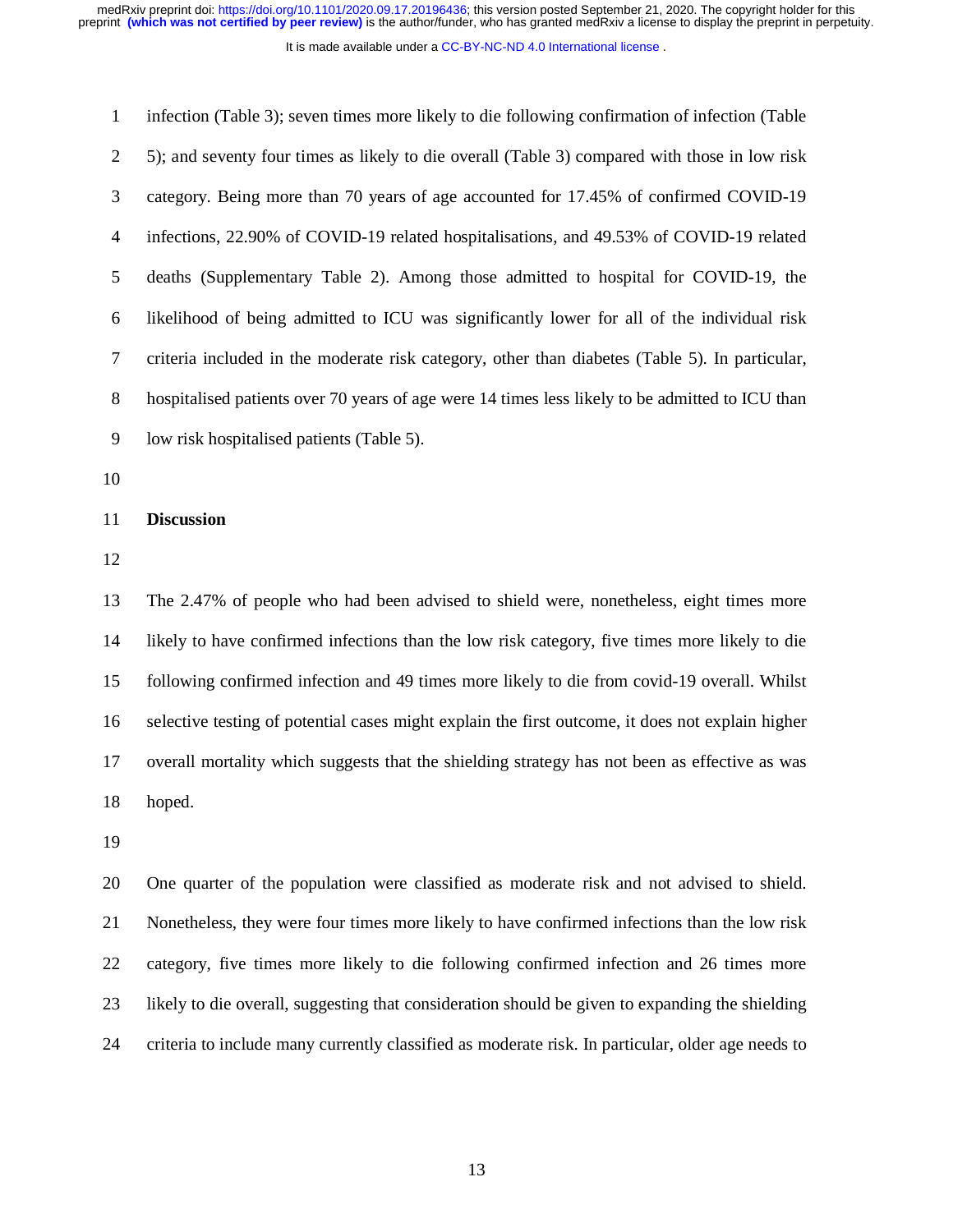It is made available under a [CC-BY-NC-ND 4.0 International license](http://creativecommons.org/licenses/by-nc-nd/4.0/) .

| $\mathbf{1}$   | infection (Table 3); seven times more likely to die following confirmation of infection (Table    |
|----------------|---------------------------------------------------------------------------------------------------|
| $\overline{2}$ | 5); and seventy four times as likely to die overall (Table 3) compared with those in low risk     |
| 3              | category. Being more than 70 years of age accounted for 17.45% of confirmed COVID-19              |
| 4              | infections, 22.90% of COVID-19 related hospitalisations, and 49.53% of COVID-19 related           |
| 5              | deaths (Supplementary Table 2). Among those admitted to hospital for COVID-19, the                |
| 6              | likelihood of being admitted to ICU was significantly lower for all of the individual risk        |
| 7              | criteria included in the moderate risk category, other than diabetes (Table 5). In particular,    |
| $8\,$          | hospitalised patients over 70 years of age were 14 times less likely to be admitted to ICU than   |
| 9              | low risk hospitalised patients (Table 5).                                                         |
| 10             |                                                                                                   |
| 11             | <b>Discussion</b>                                                                                 |
| 12             |                                                                                                   |
| 13             | The 2.47% of people who had been advised to shield were, nonetheless, eight times more            |
| 14             | likely to have confirmed infections than the low risk category, five times more likely to die     |
| 15             | following confirmed infection and 49 times more likely to die from covid-19 overall. Whilst       |
| 16             | selective testing of potential cases might explain the first outcome, it does not explain higher  |
| 17             | overall mortality which suggests that the shielding strategy has not been as effective as was     |
| 18             | hoped.                                                                                            |
| 19             |                                                                                                   |
| 20             | One quarter of the population were classified as moderate risk and not advised to shield.         |
| 21             | Nonetheless, they were four times more likely to have confirmed infections than the low risk      |
| 22             | category, five times more likely to die following confirmed infection and 26 times more           |
| 23             | likely to die overall, suggesting that consideration should be given to expanding the shielding   |
| 24             | criteria to include many currently classified as moderate risk. In particular, older age needs to |
|                |                                                                                                   |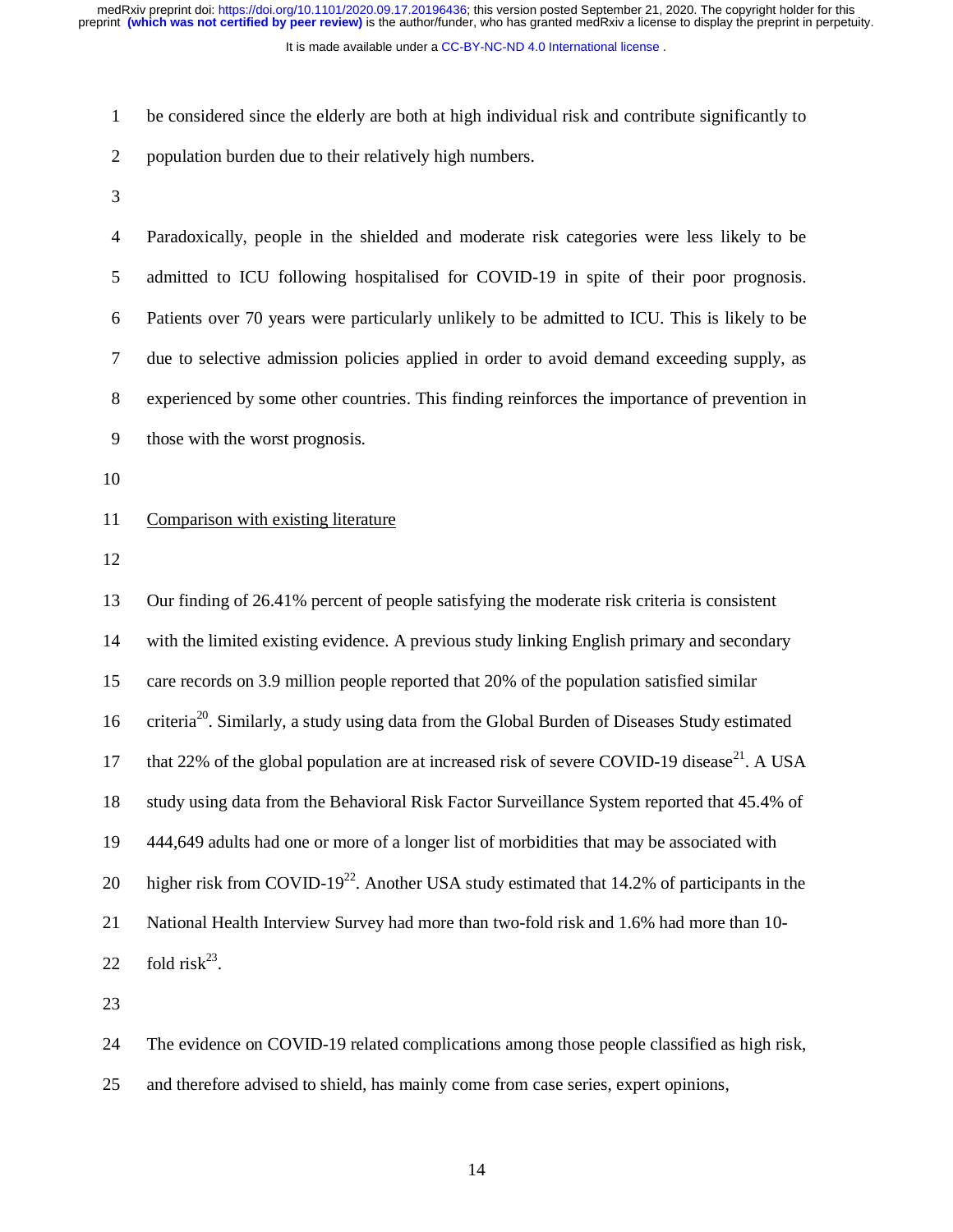It is made available under a [CC-BY-NC-ND 4.0 International license](http://creativecommons.org/licenses/by-nc-nd/4.0/) .

1 be considered since the elderly are both at high individual risk and contribute significantly to

2 population burden due to their relatively high numbers.

3

4 Paradoxically, people in the shielded and moderate risk categories were less likely to be 5 admitted to ICU following hospitalised for COVID-19 in spite of their poor prognosis. 6 Patients over 70 years were particularly unlikely to be admitted to ICU. This is likely to be 7 due to selective admission policies applied in order to avoid demand exceeding supply, as 8 experienced by some other countries. This finding reinforces the importance of prevention in 9 those with the worst prognosis.

10

# 11 Comparison with existing literature

12

13 Our finding of 26.41% percent of people satisfying the moderate risk criteria is consistent 14 with the limited existing evidence. A previous study linking English primary and secondary 15 care records on 3.9 million people reported that 20% of the population satisfied similar 16 criteria<sup>20</sup>. Similarly, a study using data from the Global Burden of Diseases Study estimated 17 that 22% of the global population are at increased risk of severe COVID-19 disease<sup>21</sup>. A USA 18 study using data from the Behavioral Risk Factor Surveillance System reported that 45.4% of 19 444,649 adults had one or more of a longer list of morbidities that may be associated with 20 higher risk from COVID-19<sup>22</sup>. Another USA study estimated that 14.2% of participants in the 21 National Health Interview Survey had more than two-fold risk and 1.6% had more than 10- 22 fold risk<sup>23</sup>.

23

24 The evidence on COVID-19 related complications among those people classified as high risk,

25 and therefore advised to shield, has mainly come from case series, expert opinions,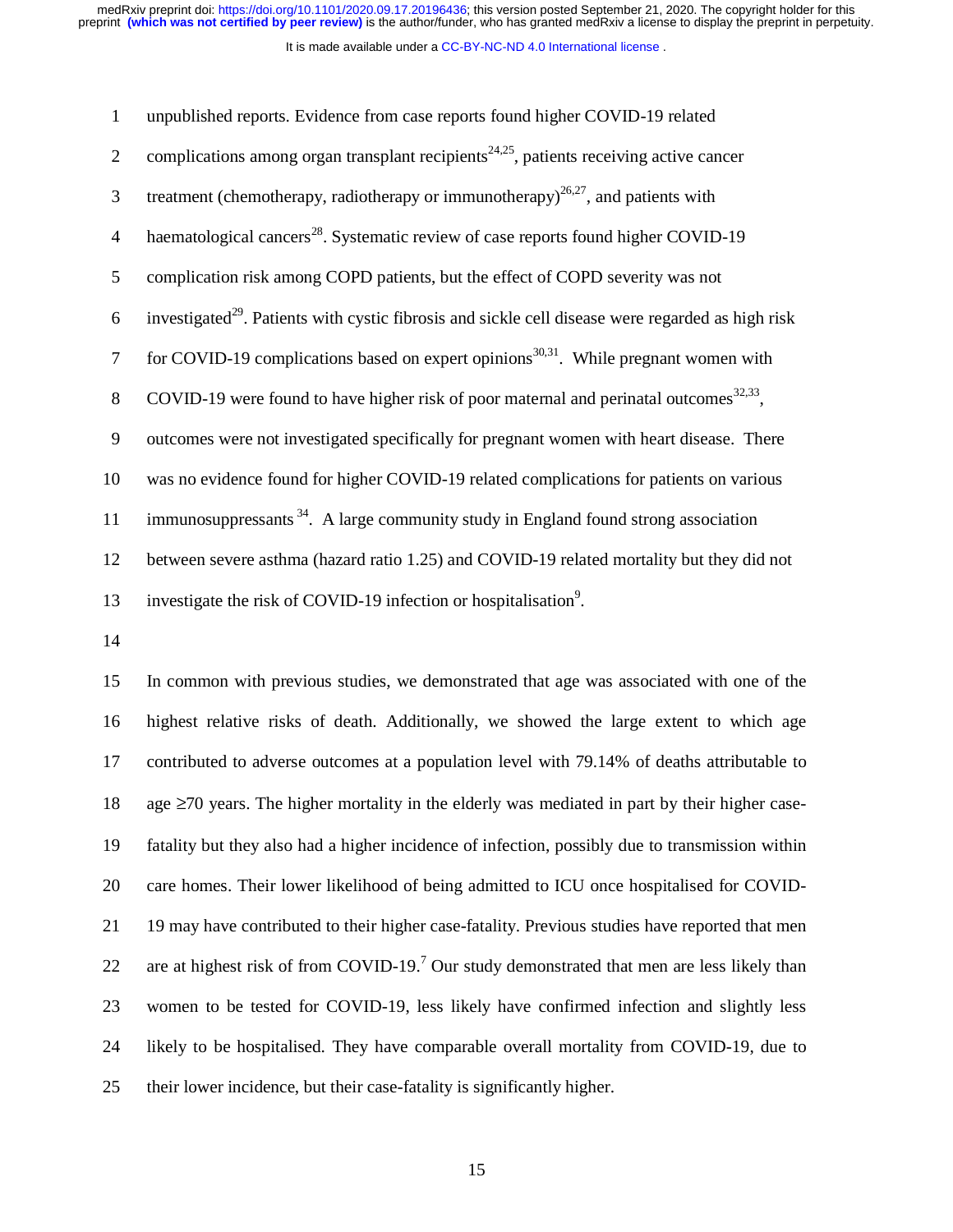It is made available under a CC-BY-NC-ND 4.0 International license.

| 1              | unpublished reports. Evidence from case reports found higher COVID-19 related                                 |
|----------------|---------------------------------------------------------------------------------------------------------------|
| 2              | complications among organ transplant recipients <sup>24,25</sup> , patients receiving active cancer           |
| 3              | treatment (chemotherapy, radiotherapy or immunotherapy) <sup>26,27</sup> , and patients with                  |
| $\overline{4}$ | haematological cancers <sup>28</sup> . Systematic review of case reports found higher COVID-19                |
| 5              | complication risk among COPD patients, but the effect of COPD severity was not                                |
| 6              | investigated <sup>29</sup> . Patients with cystic fibrosis and sickle cell disease were regarded as high risk |
| $\overline{7}$ | for COVID-19 complications based on expert opinions <sup>30,31</sup> . While pregnant women with              |
| 8              | COVID-19 were found to have higher risk of poor maternal and perinatal outcomes <sup>32,33</sup> ,            |
| 9              | outcomes were not investigated specifically for pregnant women with heart disease. There                      |
| 10             | was no evidence found for higher COVID-19 related complications for patients on various                       |
| 11             | immunosuppressants $34$ . A large community study in England found strong association                         |
| 12             | between severe asthma (hazard ratio 1.25) and COVID-19 related mortality but they did not                     |
| 13             | investigate the risk of COVID-19 infection or hospitalisation <sup>9</sup> .                                  |
|                |                                                                                                               |

14

15 In common with previous studies, we demonstrated that age was associated with one of the 16 highest relative risks of death. Additionally, we showed the large extent to which age 17 contributed to adverse outcomes at a population level with 79.14% of deaths attributable to 18 age ≥70 years. The higher mortality in the elderly was mediated in part by their higher case-19 fatality but they also had a higher incidence of infection, possibly due to transmission within 20 care homes. Their lower likelihood of being admitted to ICU once hospitalised for COVID-21 19 may have contributed to their higher case-fatality. Previous studies have reported that men 22 are at highest risk of from COVID-19.<sup>7</sup> Our study demonstrated that men are less likely than 23 women to be tested for COVID-19, less likely have confirmed infection and slightly less 24 likely to be hospitalised. They have comparable overall mortality from COVID-19, due to 25 their lower incidence, but their case-fatality is significantly higher.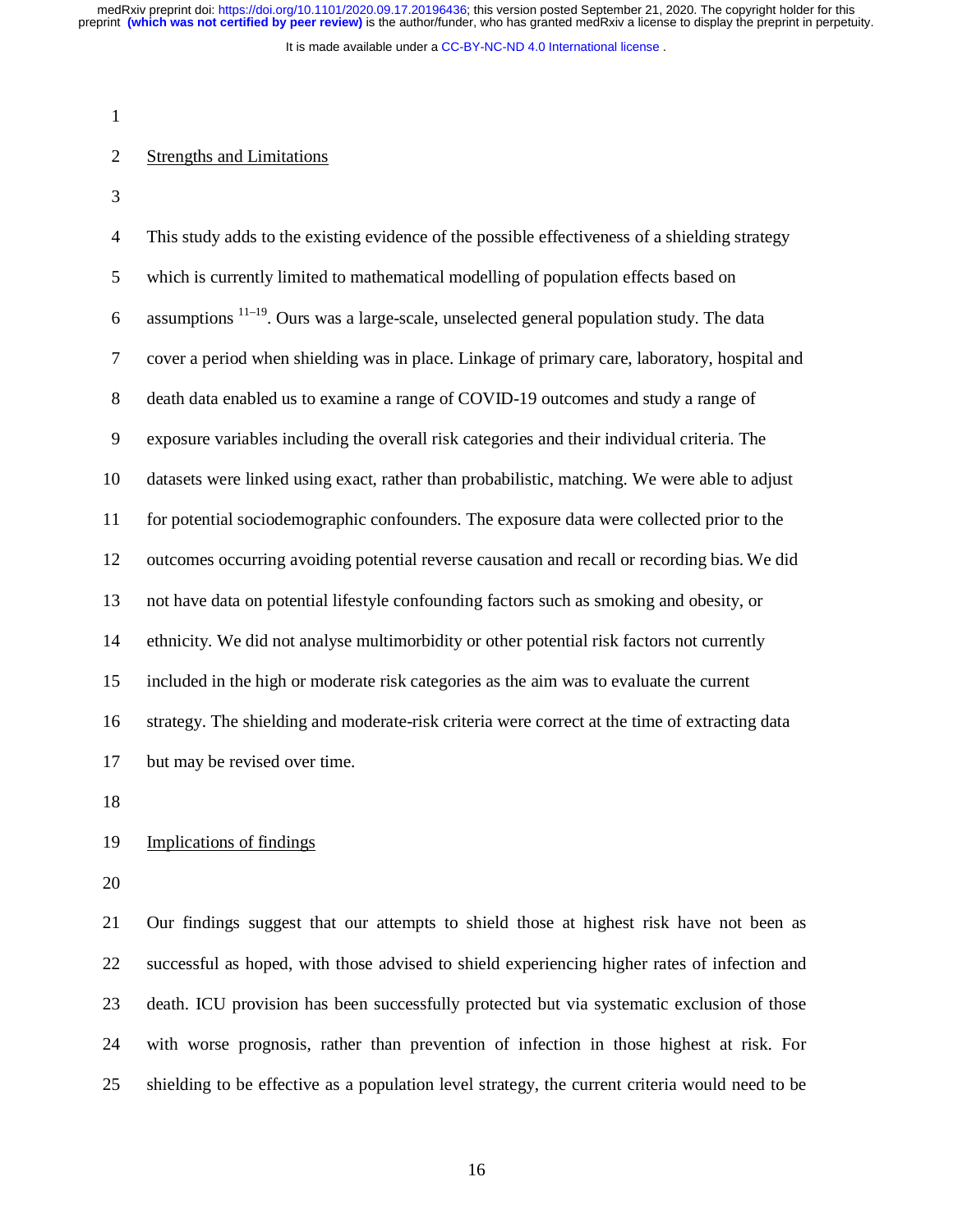It is made available under a [CC-BY-NC-ND 4.0 International license](http://creativecommons.org/licenses/by-nc-nd/4.0/) .

1

# 2 Strengths and Limitations

3

4 This study adds to the existing evidence of the possible effectiveness of a shielding strategy 5 which is currently limited to mathematical modelling of population effects based on 6 assumptions  $11-19$ . Ours was a large-scale, unselected general population study. The data 7 cover a period when shielding was in place. Linkage of primary care, laboratory, hospital and 8 death data enabled us to examine a range of COVID-19 outcomes and study a range of 9 exposure variables including the overall risk categories and their individual criteria. The 10 datasets were linked using exact, rather than probabilistic, matching. We were able to adjust 11 for potential sociodemographic confounders. The exposure data were collected prior to the 12 outcomes occurring avoiding potential reverse causation and recall or recording bias. We did 13 not have data on potential lifestyle confounding factors such as smoking and obesity, or 14 ethnicity. We did not analyse multimorbidity or other potential risk factors not currently 15 included in the high or moderate risk categories as the aim was to evaluate the current 16 strategy. The shielding and moderate-risk criteria were correct at the time of extracting data 17 but may be revised over time.

18

# 19 Implications of findings

20

21 Our findings suggest that our attempts to shield those at highest risk have not been as 22 successful as hoped, with those advised to shield experiencing higher rates of infection and 23 death. ICU provision has been successfully protected but via systematic exclusion of those 24 with worse prognosis, rather than prevention of infection in those highest at risk. For 25 shielding to be effective as a population level strategy, the current criteria would need to be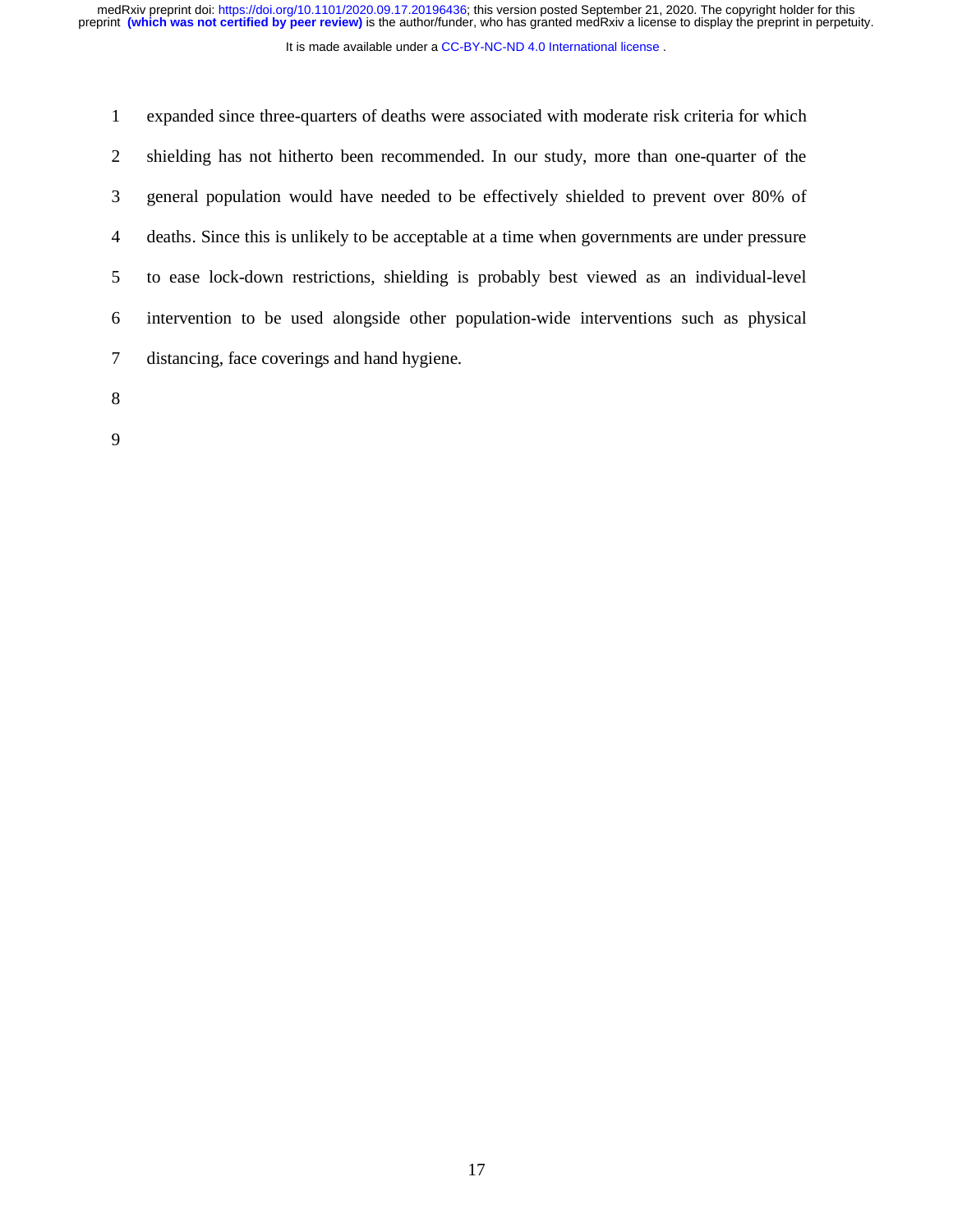It is made available under a CC-BY-NC-ND 4.0 International license.

1 expanded since three-quarters of deaths were associated with moderate risk criteria for which 2 shielding has not hitherto been recommended. In our study, more than one-quarter of the 3 general population would have needed to be effectively shielded to prevent over 80% of 4 deaths. Since this is unlikely to be acceptable at a time when governments are under pressure 5 to ease lock-down restrictions, shielding is probably best viewed as an individual-level 6 intervention to be used alongside other population-wide interventions such as physical 7 distancing, face coverings and hand hygiene.

8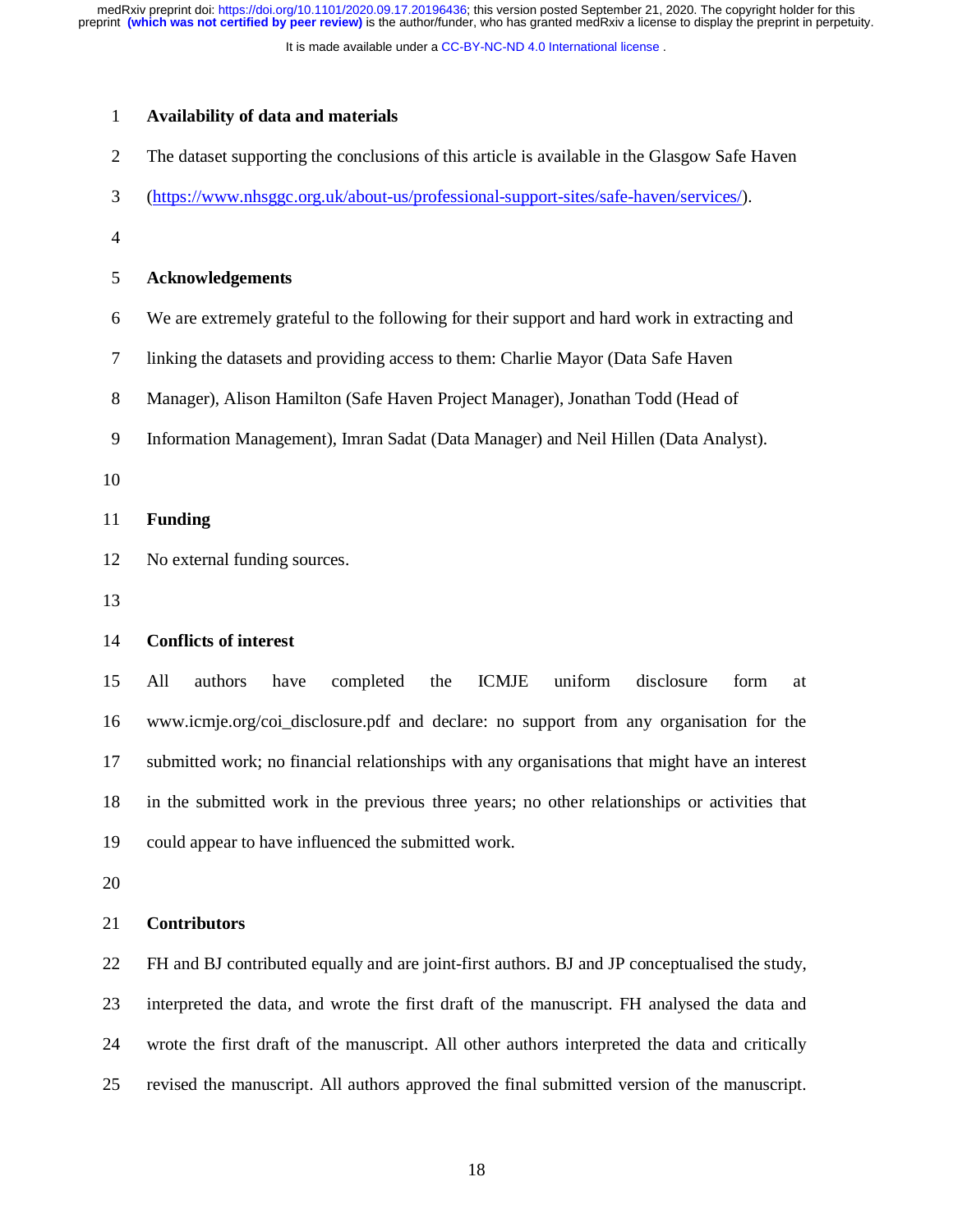It is made available under a [CC-BY-NC-ND 4.0 International license](http://creativecommons.org/licenses/by-nc-nd/4.0/) .

#### 1 **Availability of data and materials**

- 2 The dataset supporting the conclusions of this article is available in the Glasgow Safe Haven
- 3 (https://www.nhsggc.org.uk/about-us/professional-support-sites/safe-haven/services/).
- 4

#### 5 **Acknowledgements**

- 6 We are extremely grateful to the following for their support and hard work in extracting and
- 7 linking the datasets and providing access to them: Charlie Mayor (Data Safe Haven
- 8 Manager), Alison Hamilton (Safe Haven Project Manager), Jonathan Todd (Head of
- 9 Information Management), Imran Sadat (Data Manager) and Neil Hillen (Data Analyst).

10

#### 11 **Funding**

- 12 No external funding sources.
- 13

## 14 **Conflicts of interest**

15 All authors have completed the ICMJE uniform disclosure form at 16 www.icmje.org/coi\_disclosure.pdf and declare: no support from any organisation for the 17 submitted work; no financial relationships with any organisations that might have an interest 18 in the submitted work in the previous three years; no other relationships or activities that 19 could appear to have influenced the submitted work.

20

# 21 **Contributors**

22 FH and BJ contributed equally and are joint-first authors. BJ and JP conceptualised the study, 23 interpreted the data, and wrote the first draft of the manuscript. FH analysed the data and 24 wrote the first draft of the manuscript. All other authors interpreted the data and critically 25 revised the manuscript. All authors approved the final submitted version of the manuscript.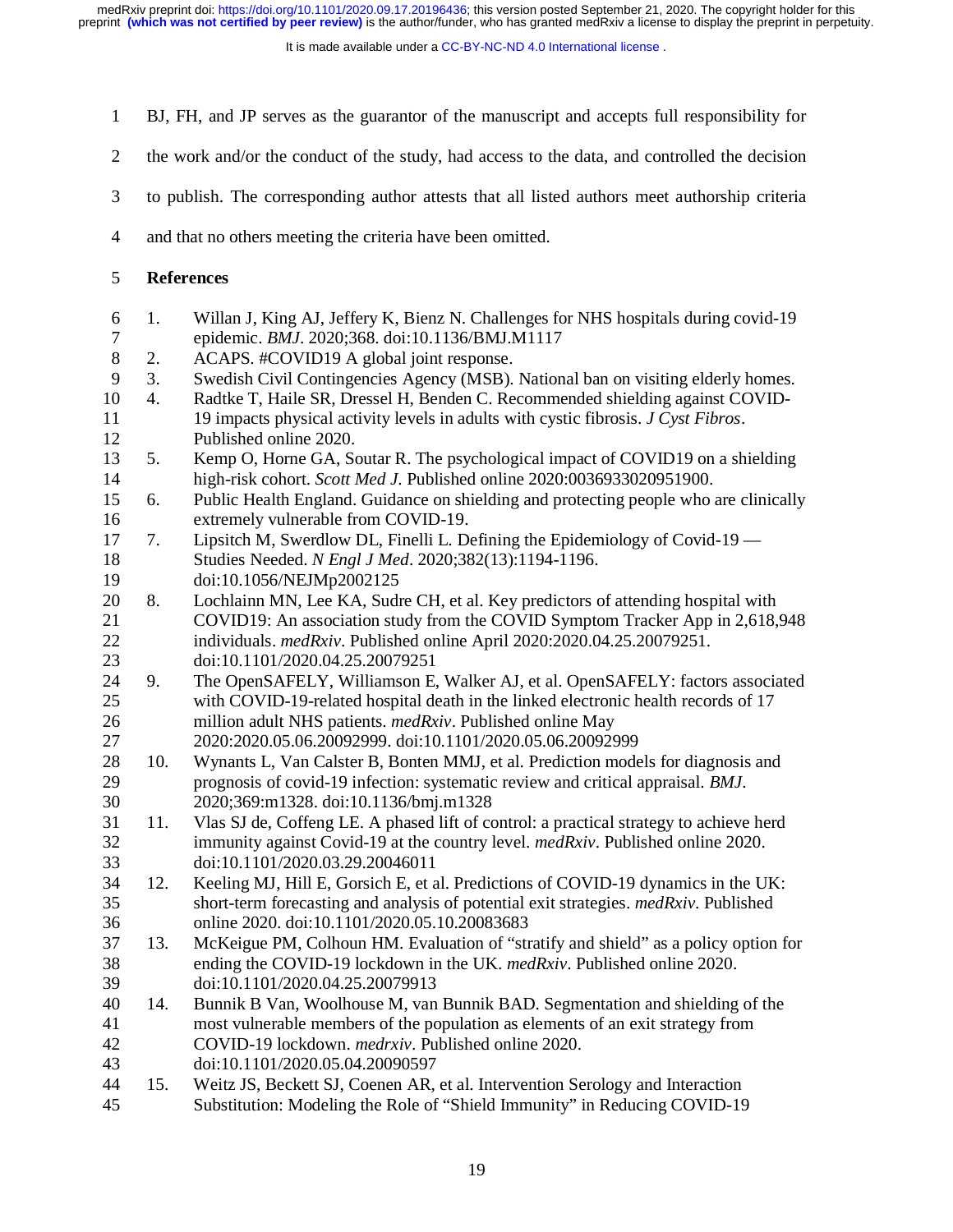It is made available under a CC-BY-NC-ND 4.0 International license.

- 1 BJ, FH, and JP serves as the guarantor of the manuscript and accepts full responsibility for
- 2 the work and/or the conduct of the study, had access to the data, and controlled the decision
- 3 to publish. The corresponding author attests that all listed authors meet authorship criteria
- 4 and that no others meeting the criteria have been omitted.
- 5 **References**
- 6 1. Willan J, King AJ, Jeffery K, Bienz N. Challenges for NHS hospitals during covid-19 7 epidemic. *BMJ*. 2020;368. doi:10.1136/BMJ.M1117
- 8 2. ACAPS. #COVID19 A global joint response.
- 9 3. Swedish Civil Contingencies Agency (MSB). National ban on visiting elderly homes.
- 10 4. Radtke T, Haile SR, Dressel H, Benden C. Recommended shielding against COVID-11 19 impacts physical activity levels in adults with cystic fibrosis. *J Cyst Fibros*. 12 Published online 2020.
- 13 5. Kemp O, Horne GA, Soutar R. The psychological impact of COVID19 on a shielding 14 high-risk cohort. *Scott Med J*. Published online 2020:0036933020951900.
- 15 6. Public Health England. Guidance on shielding and protecting people who are clinically 16 extremely vulnerable from COVID-19.
- 17 7. Lipsitch M, Swerdlow DL, Finelli L. Defining the Epidemiology of Covid-19 18 Studies Needed. *N Engl J Med*. 2020;382(13):1194-1196.
- 19 doi:10.1056/NEJMp2002125
- 20 8. Lochlainn MN, Lee KA, Sudre CH, et al. Key predictors of attending hospital with 21 COVID19: An association study from the COVID Symptom Tracker App in 2,618,948 22 individuals. *medRxiv*. Published online April 2020:2020.04.25.20079251. 23 doi:10.1101/2020.04.25.20079251
- 24 9. The OpenSAFELY, Williamson E, Walker AJ, et al. OpenSAFELY: factors associated 25 with COVID-19-related hospital death in the linked electronic health records of 17 26 million adult NHS patients. *medRxiv*. Published online May
- 27 2020:2020.05.06.20092999. doi:10.1101/2020.05.06.20092999
- 28 10. Wynants L, Van Calster B, Bonten MMJ, et al. Prediction models for diagnosis and 29 prognosis of covid-19 infection: systematic review and critical appraisal. *BMJ*. 30 2020;369:m1328. doi:10.1136/bmj.m1328
- 31 11. Vlas SJ de, Coffeng LE. A phased lift of control: a practical strategy to achieve herd 32 immunity against Covid-19 at the country level. *medRxiv*. Published online 2020. 33 doi:10.1101/2020.03.29.20046011
- 34 12. Keeling MJ, Hill E, Gorsich E, et al. Predictions of COVID-19 dynamics in the UK: 35 short-term forecasting and analysis of potential exit strategies. *medRxiv*. Published 36 online 2020. doi:10.1101/2020.05.10.20083683
- 37 13. McKeigue PM, Colhoun HM. Evaluation of "stratify and shield" as a policy option for 38 ending the COVID-19 lockdown in the UK. *medRxiv*. Published online 2020. 39 doi:10.1101/2020.04.25.20079913
- 40 14. Bunnik B Van, Woolhouse M, van Bunnik BAD. Segmentation and shielding of the 41 most vulnerable members of the population as elements of an exit strategy from 42 COVID-19 lockdown. *medrxiv*. Published online 2020.
- 43 doi:10.1101/2020.05.04.20090597
- 44 15. Weitz JS, Beckett SJ, Coenen AR, et al. Intervention Serology and Interaction 45 Substitution: Modeling the Role of "Shield Immunity" in Reducing COVID-19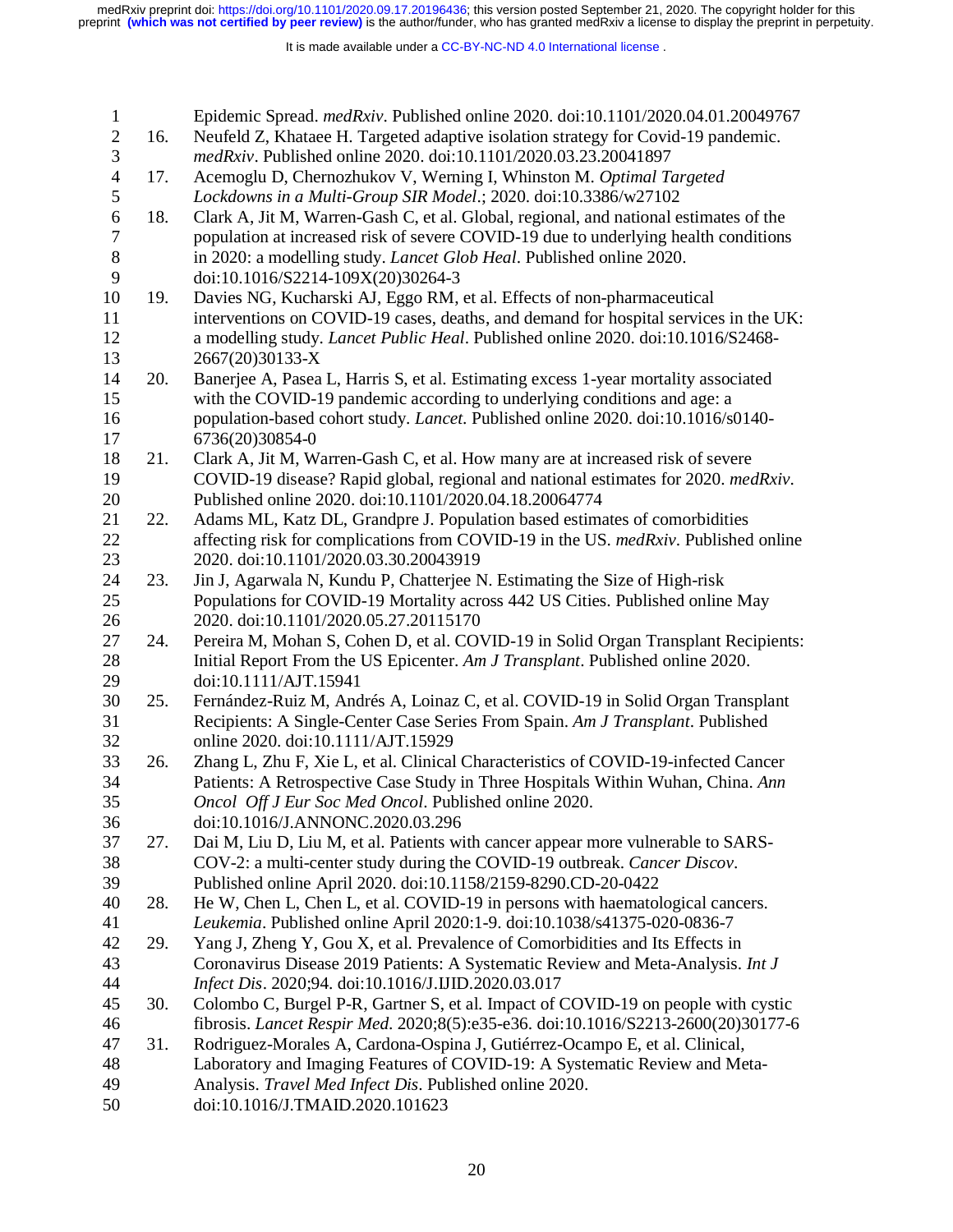| $\mathbf{1}$     |     | Epidemic Spread. medRxiv. Published online 2020. doi:10.1101/2020.04.01.20049767                                                                          |
|------------------|-----|-----------------------------------------------------------------------------------------------------------------------------------------------------------|
| $\overline{2}$   | 16. | Neufeld Z, Khataee H. Targeted adaptive isolation strategy for Covid-19 pandemic.                                                                         |
| 3                |     | medRxiv. Published online 2020. doi:10.1101/2020.03.23.20041897                                                                                           |
| $\overline{4}$   | 17. | Acemoglu D, Chernozhukov V, Werning I, Whinston M. Optimal Targeted                                                                                       |
| 5                |     | Lockdowns in a Multi-Group SIR Model.; 2020. doi:10.3386/w27102                                                                                           |
| $\boldsymbol{6}$ | 18. | Clark A, Jit M, Warren-Gash C, et al. Global, regional, and national estimates of the                                                                     |
| 7                |     | population at increased risk of severe COVID-19 due to underlying health conditions                                                                       |
| $8\,$            |     | in 2020: a modelling study. Lancet Glob Heal. Published online 2020.                                                                                      |
| 9                |     | doi:10.1016/S2214-109X(20)30264-3                                                                                                                         |
| 10               | 19. | Davies NG, Kucharski AJ, Eggo RM, et al. Effects of non-pharmaceutical                                                                                    |
| 11               |     | interventions on COVID-19 cases, deaths, and demand for hospital services in the UK:                                                                      |
| 12               |     | a modelling study. Lancet Public Heal. Published online 2020. doi:10.1016/S2468-                                                                          |
| 13               |     | 2667(20)30133-X                                                                                                                                           |
| 14               | 20. | Banerjee A, Pasea L, Harris S, et al. Estimating excess 1-year mortality associated                                                                       |
| 15               |     | with the COVID-19 pandemic according to underlying conditions and age: a                                                                                  |
| 16               |     | population-based cohort study. Lancet. Published online 2020. doi:10.1016/s0140-                                                                          |
| 17               |     | 6736(20)30854-0                                                                                                                                           |
| 18               | 21. | Clark A, Jit M, Warren-Gash C, et al. How many are at increased risk of severe                                                                            |
| 19               |     | COVID-19 disease? Rapid global, regional and national estimates for 2020. medRxiv.                                                                        |
| 20               |     | Published online 2020. doi:10.1101/2020.04.18.20064774                                                                                                    |
| 21               | 22. | Adams ML, Katz DL, Grandpre J. Population based estimates of comorbidities                                                                                |
| 22               |     | affecting risk for complications from COVID-19 in the US. medRxiv. Published online                                                                       |
| 23               |     | 2020. doi:10.1101/2020.03.30.20043919                                                                                                                     |
| 24               | 23. | Jin J, Agarwala N, Kundu P, Chatterjee N. Estimating the Size of High-risk                                                                                |
| 25               |     | Populations for COVID-19 Mortality across 442 US Cities. Published online May                                                                             |
| 26               |     | 2020. doi:10.1101/2020.05.27.20115170                                                                                                                     |
| 27               | 24. | Pereira M, Mohan S, Cohen D, et al. COVID-19 in Solid Organ Transplant Recipients:                                                                        |
| 28               |     | Initial Report From the US Epicenter. Am J Transplant. Published online 2020.                                                                             |
| 29               |     | doi:10.1111/AJT.15941                                                                                                                                     |
| 30               | 25. | Fernández-Ruiz M, Andrés A, Loinaz C, et al. COVID-19 in Solid Organ Transplant                                                                           |
| 31               |     | Recipients: A Single-Center Case Series From Spain. Am J Transplant. Published                                                                            |
| 32               |     | online 2020. doi:10.1111/AJT.15929                                                                                                                        |
| 33               | 26. | Zhang L, Zhu F, Xie L, et al. Clinical Characteristics of COVID-19-infected Cancer                                                                        |
| 34               |     | Patients: A Retrospective Case Study in Three Hospitals Within Wuhan, China. Ann                                                                          |
| 35               |     | Oncol Off J Eur Soc Med Oncol. Published online 2020.                                                                                                     |
| 36               |     | doi:10.1016/J.ANNONC.2020.03.296                                                                                                                          |
| 37               | 27. | Dai M, Liu D, Liu M, et al. Patients with cancer appear more vulnerable to SARS-                                                                          |
| 38               |     | COV-2: a multi-center study during the COVID-19 outbreak. Cancer Discov.                                                                                  |
| 39               |     | Published online April 2020. doi:10.1158/2159-8290.CD-20-0422                                                                                             |
| 40               | 28. | He W, Chen L, Chen L, et al. COVID-19 in persons with haematological cancers.                                                                             |
| 41               |     | Leukemia. Published online April 2020:1-9. doi:10.1038/s41375-020-0836-7                                                                                  |
| 42               | 29. | Yang J, Zheng Y, Gou X, et al. Prevalence of Comorbidities and Its Effects in                                                                             |
| 43               |     | Coronavirus Disease 2019 Patients: A Systematic Review and Meta-Analysis. Int J                                                                           |
| 44<br>45         |     | Infect Dis. 2020;94. doi:10.1016/J.IJID.2020.03.017                                                                                                       |
|                  | 30. | Colombo C, Burgel P-R, Gartner S, et al. Impact of COVID-19 on people with cystic                                                                         |
| 46<br>47         |     | fibrosis. Lancet Respir Med. 2020;8(5):e35-e36. doi:10.1016/S2213-2600(20)30177-6                                                                         |
| 48               | 31. | Rodriguez-Morales A, Cardona-Ospina J, Gutiérrez-Ocampo E, et al. Clinical,<br>Laboratory and Imaging Features of COVID-19: A Systematic Review and Meta- |
| 49               |     | Analysis. Travel Med Infect Dis. Published online 2020.                                                                                                   |
| 50               |     | doi:10.1016/J.TMAID.2020.101623                                                                                                                           |
|                  |     |                                                                                                                                                           |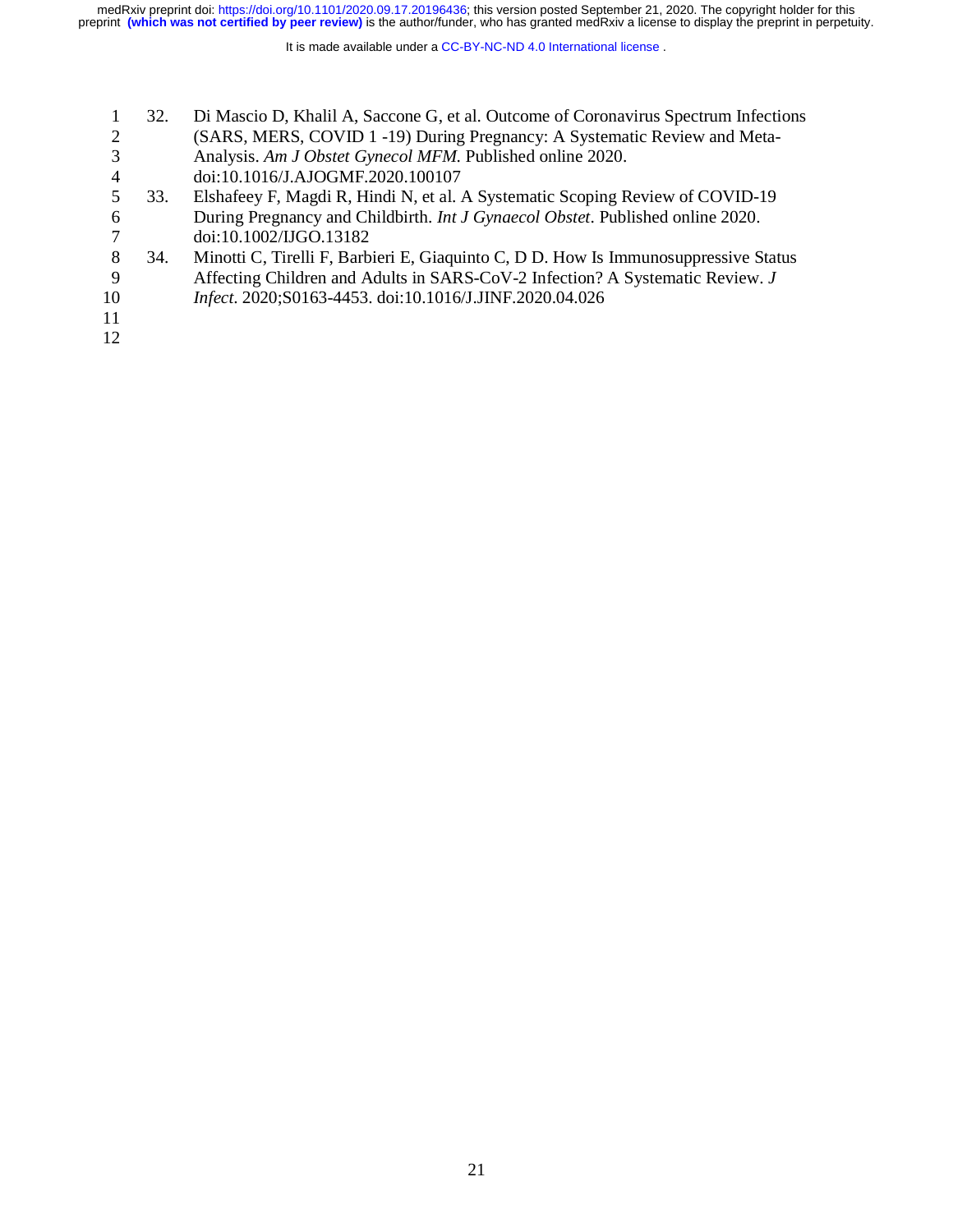|    | 32. | Di Mascio D, Khalil A, Saccone G, et al. Outcome of Coronavirus Spectrum Infections    |
|----|-----|----------------------------------------------------------------------------------------|
|    |     | (SARS, MERS, COVID 1 -19) During Pregnancy: A Systematic Review and Meta-              |
|    |     | Analysis. Am J Obstet Gynecol MFM. Published online 2020.                              |
| 4  |     | doi:10.1016/J.AJOGMF.2020.100107                                                       |
|    | 33. | Elshafeey F, Magdi R, Hindi N, et al. A Systematic Scoping Review of COVID-19          |
| 6  |     | During Pregnancy and Childbirth. <i>Int J Gynaecol Obstet</i> . Published online 2020. |
|    |     | doi:10.1002/IJGO.13182                                                                 |
| 8  | 34. | Minotti C, Tirelli F, Barbieri E, Giaquinto C, D D. How Is Immunosuppressive Status    |
| 9  |     | Affecting Children and Adults in SARS-CoV-2 Infection? A Systematic Review. J          |
| 10 |     | Infect. 2020;S0163-4453. doi:10.1016/J.JINF.2020.04.026                                |
| 11 |     |                                                                                        |
| 12 |     |                                                                                        |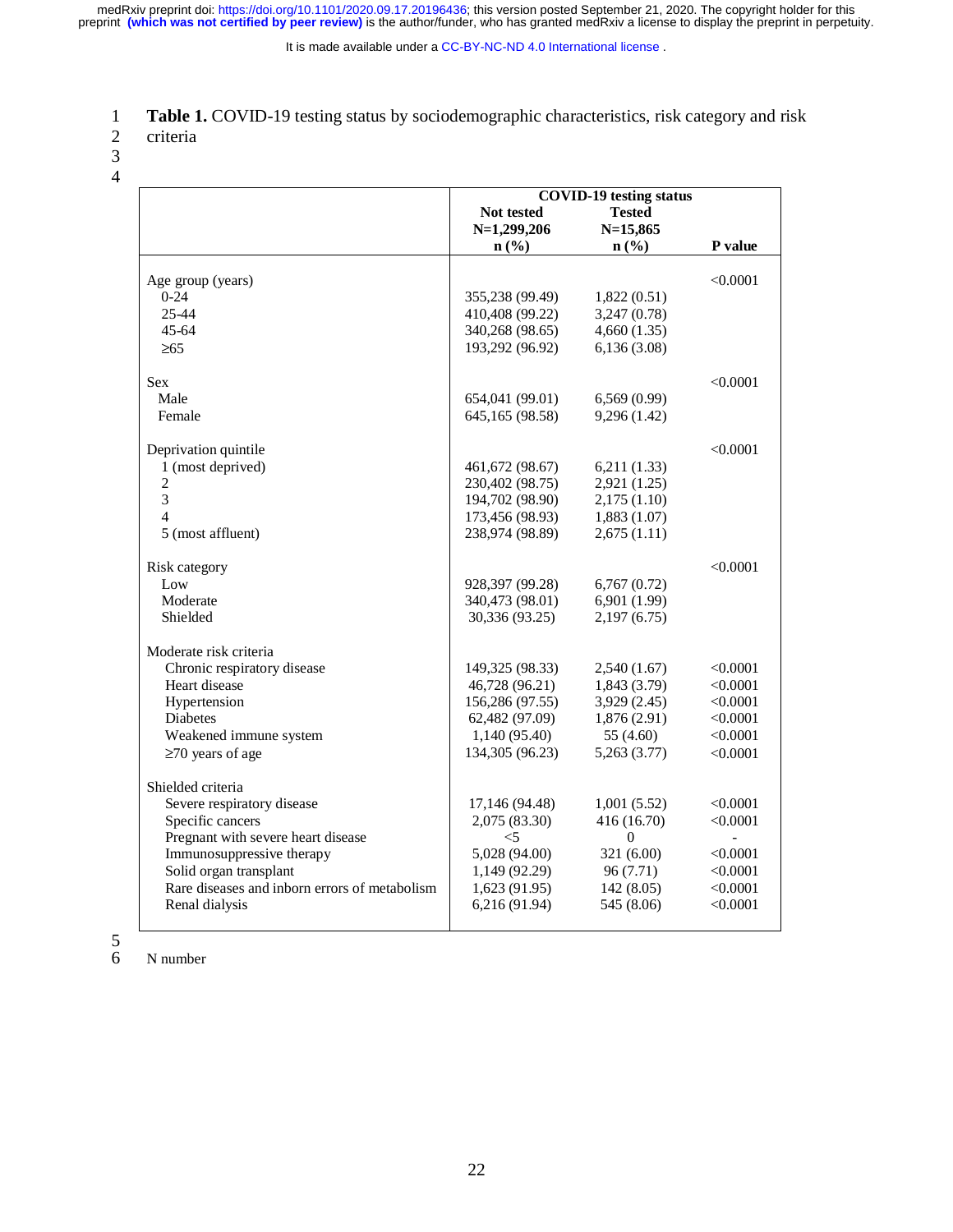It is made available under a [CC-BY-NC-ND 4.0 International license](http://creativecommons.org/licenses/by-nc-nd/4.0/) .

- 2 criteria
- 3
- 4

|                                               | <b>COVID-19 testing status</b> |                             |                |
|-----------------------------------------------|--------------------------------|-----------------------------|----------------|
|                                               |                                | <b>Tested</b>               |                |
|                                               | <b>Not tested</b>              |                             |                |
|                                               | $N=1,299,206$                  | $N=15,865$                  |                |
|                                               | $n\left(\frac{9}{6}\right)$    | $n\left(\frac{0}{0}\right)$ | P value        |
| Age group (years)                             |                                |                             | < 0.0001       |
| $0-24$                                        | 355,238 (99.49)                | 1,822(0.51)                 |                |
| $25 - 44$                                     | 410,408 (99.22)                | 3,247 (0.78)                |                |
| $45 - 64$                                     | 340,268 (98.65)                | 4,660(1.35)                 |                |
| $\geq 65$                                     | 193,292 (96.92)                | 6,136(3.08)                 |                |
|                                               |                                |                             |                |
| <b>Sex</b>                                    |                                |                             | < 0.0001       |
| Male                                          | 654,041 (99.01)                | 6,569(0.99)                 |                |
| Female                                        | 645,165 (98.58)                | 9,296 (1.42)                |                |
|                                               |                                |                             |                |
| Deprivation quintile                          |                                |                             | < 0.0001       |
| 1 (most deprived)                             | 461,672 (98.67)                | 6,211(1.33)                 |                |
| $\overline{2}$                                | 230,402 (98.75)                | 2,921 (1.25)                |                |
| $\overline{3}$                                | 194,702 (98.90)                | 2,175(1.10)                 |                |
| 4                                             | 173,456 (98.93)                | 1,883(1.07)                 |                |
| 5 (most affluent)                             | 238,974 (98.89)                | 2,675(1.11)                 |                |
|                                               |                                |                             |                |
| Risk category                                 |                                |                             | < 0.0001       |
| Low                                           | 928,397 (99.28)                | 6,767(0.72)                 |                |
| Moderate                                      | 340,473 (98.01)                | 6,901 (1.99)                |                |
| Shielded                                      | 30,336 (93.25)                 | 2,197(6.75)                 |                |
|                                               |                                |                             |                |
| Moderate risk criteria                        |                                |                             |                |
| Chronic respiratory disease                   | 149,325 (98.33)                | 2,540(1.67)                 | < 0.0001       |
| Heart disease                                 | 46,728 (96.21)                 | 1,843 (3.79)                | < 0.0001       |
| Hypertension                                  | 156,286 (97.55)                | 3,929 (2.45)                | < 0.0001       |
| <b>Diabetes</b>                               | 62,482 (97.09)                 | 1,876(2.91)                 | < 0.0001       |
| Weakened immune system                        | 1,140 (95.40)                  | 55 (4.60)                   | < 0.0001       |
| $\geq$ 70 years of age                        | 134,305 (96.23)                | 5,263 (3.77)                | < 0.0001       |
|                                               |                                |                             |                |
| Shielded criteria                             |                                |                             |                |
| Severe respiratory disease                    | 17,146 (94.48)                 | 1,001(5.52)                 | < 0.0001       |
| Specific cancers                              | 2,075 (83.30)                  | 416 (16.70)                 | < 0.0001       |
| Pregnant with severe heart disease            | $<$ 5                          | $\theta$                    | $\overline{a}$ |
| Immunosuppressive therapy                     | 5,028 (94.00)                  | 321 (6.00)                  | < 0.0001       |
| Solid organ transplant                        | 1,149 (92.29)                  | 96 (7.71)                   | < 0.0001       |
| Rare diseases and inborn errors of metabolism | 1,623(91.95)                   | 142(8.05)                   | < 0.0001       |
| Renal dialysis                                | 6,216 (91.94)                  | 545 (8.06)                  | < 0.0001       |
|                                               |                                |                             |                |

 $\frac{5}{6}$ 

N number

<sup>1</sup> **Table 1.** COVID-19 testing status by sociodemographic characteristics, risk category and risk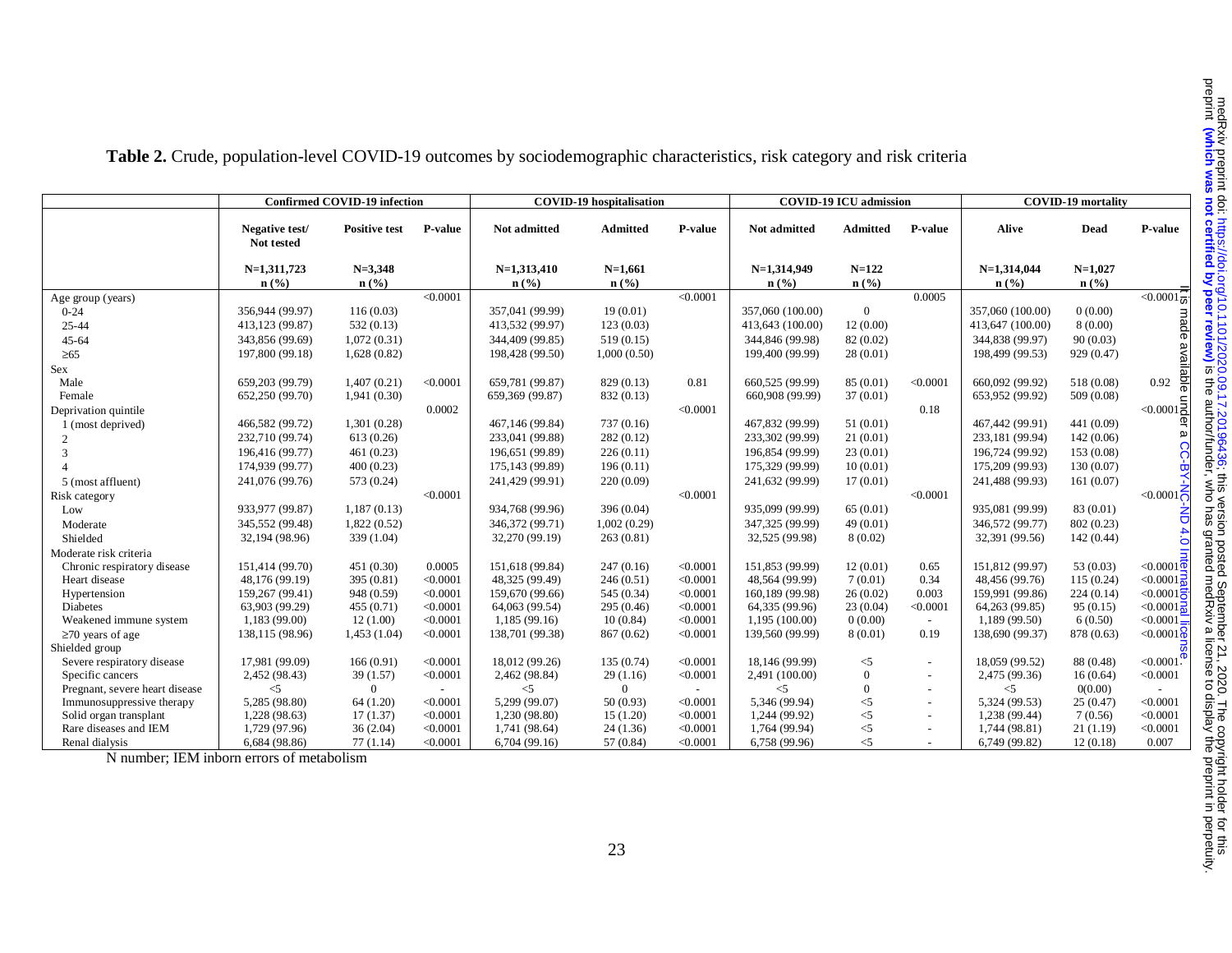|                                | <b>Confirmed COVID-19 infection</b> |                                 | <b>COVID-19</b> hospitalisation |                             |                             | <b>COVID-19 ICU</b> admission |                             |                 | <b>COVID-19 mortality</b> |                             |                             |                              |
|--------------------------------|-------------------------------------|---------------------------------|---------------------------------|-----------------------------|-----------------------------|-------------------------------|-----------------------------|-----------------|---------------------------|-----------------------------|-----------------------------|------------------------------|
|                                | Negative test/<br>Not tested        | <b>Positive test</b>            | P-value                         | Not admitted                | <b>Admitted</b>             | <b>P-value</b>                | <b>Not admitted</b>         | <b>Admitted</b> | P-value                   | Alive                       | <b>Dead</b>                 | P-value                      |
|                                | $N=1,311,723$                       | $N = 3,348$<br>$\mathbf{n}(\%)$ |                                 | $N=1,313,410$               | $N=1,661$                   |                               | $N=1,314,949$               | $N = 122$       |                           | $N=1,314,044$               | $N=1,027$                   |                              |
|                                | n(%                                 |                                 | < 0.0001                        | $n\left(\frac{0}{0}\right)$ | $n\left(\frac{0}{0}\right)$ | < 0.0001                      | $n\left(\frac{0}{0}\right)$ | n(%             | 0.0005                    | $n\left(\frac{9}{6}\right)$ | $n\left(\frac{9}{6}\right)$ | $\sqrt{0.0001}$              |
| Age group (years)<br>$0 - 24$  | 356,944 (99.97)                     | 116(0.03)                       |                                 | 357,041 (99.99)             | 19(0.01)                    |                               | 357,060 (100.00)            | $\Omega$        |                           | 357,060 (100.00)            | 0(0.00)                     |                              |
| 25-44                          | 413,123 (99.87)                     | 532(0.13)                       |                                 | 413,532 (99.97)             | 123(0.03)                   |                               | 413,643 (100.00)            | 12(0.00)        |                           | 413,647 (100.00)            | 8(0.00)                     |                              |
| 45-64                          | 343,856 (99.69)                     | 1,072(0.31)                     |                                 | 344,409 (99.85)             | 519(0.15)                   |                               | 344,846 (99.98)             | 82 (0.02)       |                           | 344,838 (99.97)             | 90(0.03)                    | <b>ade</b>                   |
| $\geq 65$                      | 197,800 (99.18)                     | 1,628(0.82)                     |                                 | 198,428 (99.50)             | 1,000(0.50)                 |                               | 199,400 (99.99)             | 28(0.01)        |                           | 198,499 (99.53)             | 929 (0.47)                  | ava                          |
| Sex                            |                                     |                                 |                                 |                             |                             |                               |                             |                 |                           |                             |                             |                              |
| Male                           | 659,203 (99.79)                     | 1,407(0.21)                     | < 0.0001                        | 659,781 (99.87)             | 829 (0.13)                  | 0.81                          | 660,525 (99.99)             | 85 (0.01)       | < 0.0001                  | 660,092 (99.92)             | 518 (0.08)                  | 0.92                         |
| Female                         | 652,250 (99.70)                     | 1,941(0.30)                     |                                 | 659,369 (99.87)             | 832 (0.13)                  |                               | 660,908 (99.99)             | 37(0.01)        |                           | 653,952 (99.92)             | 509 (0.08)                  |                              |
| Deprivation quintile           |                                     |                                 | 0.0002                          |                             |                             | < 0.0001                      |                             |                 | 0.18                      |                             |                             | $< 0.0001$ <sub>2</sub>      |
| 1 (most deprived)              | 466,582 (99.72)                     | 1,301(0.28)                     |                                 | 467,146 (99.84)             | 737(0.16)                   |                               | 467,832 (99.99)             | 51(0.01)        |                           | 467,442 (99.91)             | 441 (0.09)                  |                              |
| 2                              | 232,710 (99.74)                     | 613(0.26)                       |                                 | 233,041 (99.88)             | 282(0.12)                   |                               | 233,302 (99.99)             | 21(0.01)        |                           | 233,181 (99.94)             | 142(0.06)                   | $\omega$                     |
| 3                              | 196,416 (99.77)                     | 461(0.23)                       |                                 | 196,651 (99.89)             | 226(0.11)                   |                               | 196,854 (99.99)             | 23(0.01)        |                           | 196,724 (99.92)             | 153 (0.08)                  |                              |
|                                | 174,939 (99.77)                     | 400(0.23)                       |                                 | 175,143 (99.89)             | 196(0.11)                   |                               | 175,329 (99.99)             | 10(0.01)        |                           | 175,209 (99.93)             | 130(0.07)                   | CC-BY-                       |
| 5 (most affluent)              | 241,076 (99.76)                     | 573 (0.24)                      |                                 | 241,429 (99.91)             | 220(0.09)                   |                               | 241,632 (99.99)             | 17(0.01)        |                           | 241,488 (99.93)             | 161(0.07)                   |                              |
| Risk category                  |                                     |                                 | < 0.0001                        |                             |                             | < 0.0001                      |                             |                 | < 0.0001                  |                             |                             | $< 0.0001$ $\sum$            |
| Low                            | 933,977 (99.87)                     | 1,187(0.13)                     |                                 | 934,768 (99.96)             | 396 (0.04)                  |                               | 935,099 (99.99)             | 65(0.01)        |                           | 935,081 (99.99)             | 83 (0.01)                   |                              |
| Moderate                       | 345,552 (99.48)                     | 1,822(0.52)                     |                                 | 346,372 (99.71)             | 1,002(0.29)                 |                               | 347,325 (99.99)             | 49 (0.01)       |                           | 346,572 (99.77)             | 802(0.23)                   | 증                            |
| Shielded                       | 32,194 (98.96)                      | 339 (1.04)                      |                                 | 32,270 (99.19)              | 263(0.81)                   |                               | 32,525 (99.98)              | 8(0.02)         |                           | 32,391 (99.56)              | 142(0.44)                   | 4.0                          |
| Moderate risk criteria         |                                     |                                 |                                 |                             |                             |                               |                             |                 |                           |                             |                             |                              |
| Chronic respiratory disease    | 151,414 (99.70)                     | 451 (0.30)                      | 0.0005                          | 151,618 (99.84)             | 247(0.16)                   | < 0.0001                      | 151,853 (99.99)             | 12(0.01)        | 0.65                      | 151,812 (99.97)             | 53(0.03)                    | $<$ 0.0001 $\overline{\Phi}$ |
| Heart disease                  | 48,176 (99.19)                      | 395 (0.81)                      | < 0.0001                        | 48,325 (99.49)              | 246(0.51)                   | < 0.0001                      | 48,564 (99.99)              | 7(0.01)         | 0.34                      | 48,456 (99.76)              | 115(0.24)                   | < 0.0001                     |
| Hypertension                   | 159,267 (99.41)                     | 948 (0.59)                      | < 0.0001                        | 159,670 (99.66)             | 545 (0.34)                  | < 0.0001                      | 160,189 (99.98)             | 26(0.02)        | 0.003                     | 159,991 (99.86)             | 224(0.14)                   | < 0.0001                     |
| Diabetes                       | 63,903 (99.29)                      | 455(0.71)                       | < 0.0001                        | 64,063 (99.54)              | 295(0.46)                   | < 0.0001                      | 64,335 (99.96)              | 23(0.04)        | < 0.0001                  | 64,263 (99.85)              | 95(0.15)                    | < 0.0001                     |
| Weakened immune system         | 1,183 (99.00)                       | 12(1.00)                        | < 0.0001                        | 1,185(99.16)                | 10(0.84)                    | < 0.0001                      | 1,195 (100.00)              | 0(0.00)         |                           | 1,189 (99.50)               | 6(0.50)                     | < 0.0001                     |
| $\geq$ 70 years of age         | 138,115 (98.96)                     | 1,453(1.04)                     | < 0.0001                        | 138,701 (99.38)             | 867(0.62)                   | < 0.0001                      | 139,560 (99.99)             | 8(0.01)         | 0.19                      | 138,690 (99.37)             | 878 (0.63)                  | < 0.0001                     |
| Shielded group                 |                                     |                                 |                                 |                             |                             |                               |                             |                 |                           |                             |                             |                              |
| Severe respiratory disease     | 17,981 (99.09)                      | 166(0.91)                       | < 0.0001                        | 18,012 (99.26)              | 135(0.74)                   | < 0.0001                      | 18,146 (99.99)              | $<$ 5           |                           | 18,059 (99.52)              | 88 (0.48)                   | < 0.0001                     |
| Specific cancers               | 2,452 (98.43)                       | 39(1.57)                        | < 0.0001                        | 2,462 (98.84)               | 29(1.16)                    | < 0.0001                      | 2,491 (100.00)              | $\Omega$        |                           | 2,475 (99.36)               | 16(0.64)                    | < 0.0001                     |
| Pregnant, severe heart disease | $<$ 5                               | $\Omega$                        |                                 | $\leq$ 5                    | $\Omega$                    |                               | $<$ 5                       | $\mathbf{0}$    |                           | $\leq$                      | 0(0.00)                     |                              |
| Immunosuppressive therapy      | 5,285 (98.80)                       | 64(1.20)                        | < 0.0001                        | 5,299 (99.07)               | 50(0.93)                    | < 0.0001                      | 5,346 (99.94)               | $<$ 5           |                           | 5,324 (99.53)               | 25(0.47)                    | < 0.0001                     |
| Solid organ transplant         | 1,228 (98.63)                       | 17(1.37)                        | < 0.0001                        | 1,230 (98.80)               | 15(1.20)                    | < 0.0001                      | 1,244 (99.92)               | $<$ 5           |                           | 1,238 (99.44)               | 7(0.56)                     | < 0.0001                     |
| Rare diseases and IEM          | 1,729 (97.96)                       | 36(2.04)                        | < 0.0001                        | 1,741 (98.64)               | 24(1.36)                    | < 0.0001                      | 1,764 (99.94)               | $\leq$          | $\sim$                    | 1,744 (98.81)               | 21(1.19)                    | < 0.0001                     |
| Renal dialysis                 | 6,684 (98.86)                       | 77(1.14)                        | < 0.0001                        | 6,704(99.16)                | 57 (0.84)                   | < 0.0001                      | 6,758 (99.96)               | $\leq$ 5        |                           | 6,749 (99.82)               | 12(0.18)                    | 0.007                        |

**Table 2.** Crude, population-level COVID-19 outcomes by sociodemographic characteristics, risk category and risk criteria

N number; IEM inborn errors of metabolism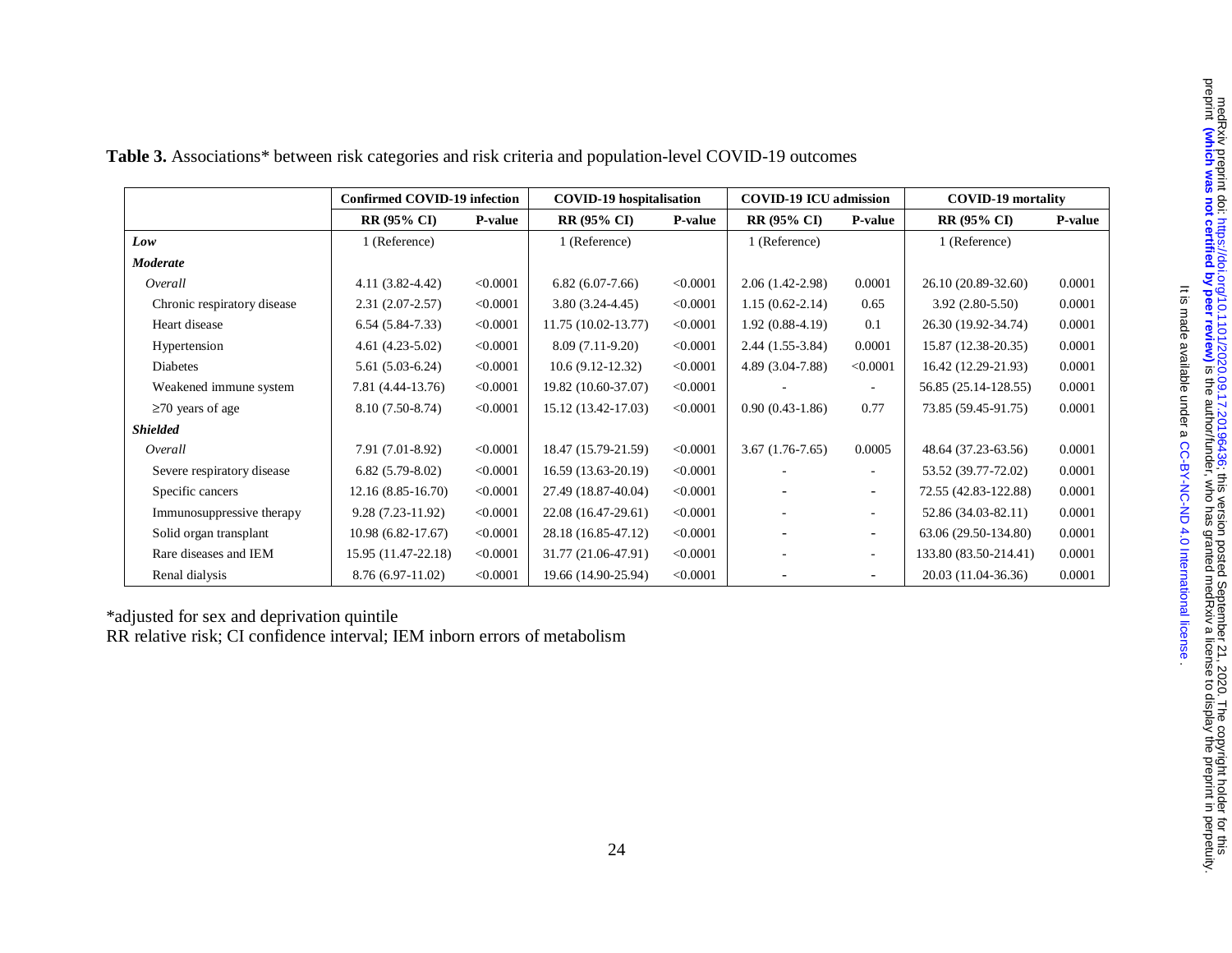|                             | <b>Confirmed COVID-19 infection</b> |                | <b>COVID-19</b> hospitalisation |          | <b>COVID-19 ICU</b> admission |                          | <b>COVID-19 mortality</b> |                |
|-----------------------------|-------------------------------------|----------------|---------------------------------|----------|-------------------------------|--------------------------|---------------------------|----------------|
|                             | <b>RR (95% CI)</b>                  | <b>P-value</b> | <b>RR (95% CI)</b>              | P-value  | <b>RR (95% CI)</b>            | <b>P-value</b>           | <b>RR (95% CI)</b>        | <b>P-value</b> |
| Low                         | 1 (Reference)                       |                | 1 (Reference)                   |          | 1 (Reference)                 |                          | 1 (Reference)             |                |
| <b>Moderate</b>             |                                     |                |                                 |          |                               |                          |                           |                |
| Overall                     | $4.11(3.82 - 4.42)$                 | < 0.0001       | $6.82(6.07-7.66)$               | < 0.0001 | $2.06(1.42-2.98)$             | 0.0001                   | 26.10 (20.89-32.60)       | 0.0001         |
| Chronic respiratory disease | $2.31(2.07 - 2.57)$                 | < 0.0001       | $3.80(3.24-4.45)$               | < 0.0001 | $1.15(0.62 - 2.14)$           | 0.65                     | $3.92(2.80-5.50)$         | 0.0001         |
| Heart disease               | $6.54(5.84-7.33)$                   | < 0.0001       | 11.75 (10.02-13.77)             | < 0.0001 | $1.92(0.88-4.19)$             | 0.1                      | 26.30 (19.92-34.74)       | 0.0001         |
| Hypertension                | $4.61(4.23-5.02)$                   | < 0.0001       | $8.09(7.11-9.20)$               | < 0.0001 | $2.44(1.55-3.84)$             | 0.0001                   | 15.87 (12.38-20.35)       | 0.0001         |
| Diabetes                    | $5.61(5.03-6.24)$                   | < 0.0001       | 10.6 (9.12-12.32)               | < 0.0001 | 4.89 (3.04-7.88)              | < 0.0001                 | 16.42 (12.29-21.93)       | 0.0001         |
| Weakened immune system      | 7.81 (4.44-13.76)                   | < 0.0001       | 19.82 (10.60-37.07)             | < 0.0001 |                               |                          | 56.85 (25.14-128.55)      | 0.0001         |
| $\geq$ 70 years of age      | 8.10 (7.50-8.74)                    | < 0.0001       | 15.12 (13.42-17.03)             | < 0.0001 | $0.90(0.43-1.86)$             | 0.77                     | 73.85 (59.45-91.75)       | 0.0001         |
| <b>Shielded</b>             |                                     |                |                                 |          |                               |                          |                           |                |
| Overall                     | 7.91 (7.01-8.92)                    | < 0.0001       | 18.47 (15.79-21.59)             | < 0.0001 | $3.67(1.76-7.65)$             | 0.0005                   | 48.64 (37.23-63.56)       | 0.0001         |
| Severe respiratory disease  | $6.82(5.79-8.02)$                   | < 0.0001       | 16.59 (13.63-20.19)             | < 0.0001 |                               | $\sim$                   | 53.52 (39.77-72.02)       | 0.0001         |
| Specific cancers            | $12.16(8.85 - 16.70)$               | < 0.0001       | 27.49 (18.87-40.04)             | < 0.0001 |                               | $\overline{\phantom{a}}$ | 72.55 (42.83-122.88)      | 0.0001         |
| Immunosuppressive therapy   | 9.28 (7.23-11.92)                   | < 0.0001       | 22.08 (16.47-29.61)             | < 0.0001 |                               | $\sim$                   | 52.86 (34.03-82.11)       | 0.0001         |
| Solid organ transplant      | 10.98 (6.82-17.67)                  | < 0.0001       | 28.18 (16.85-47.12)             | < 0.0001 |                               | $\sim$                   | 63.06 (29.50-134.80)      | 0.0001         |
| Rare diseases and IEM       | 15.95 (11.47-22.18)                 | < 0.0001       | 31.77 (21.06-47.91)             | < 0.0001 |                               | $\sim$                   | 133.80 (83.50-214.41)     | 0.0001         |
| Renal dialysis              | 8.76 (6.97-11.02)                   | < 0.0001       | 19.66 (14.90-25.94)             | < 0.0001 | $\overline{\phantom{a}}$      | $\sim$                   | 20.03 (11.04-36.36)       | 0.0001         |

| Table 3. Associations* between risk categories and risk criteria and population-level COVID-19 outcomes |  |  |  |  |  |  |  |
|---------------------------------------------------------------------------------------------------------|--|--|--|--|--|--|--|
|---------------------------------------------------------------------------------------------------------|--|--|--|--|--|--|--|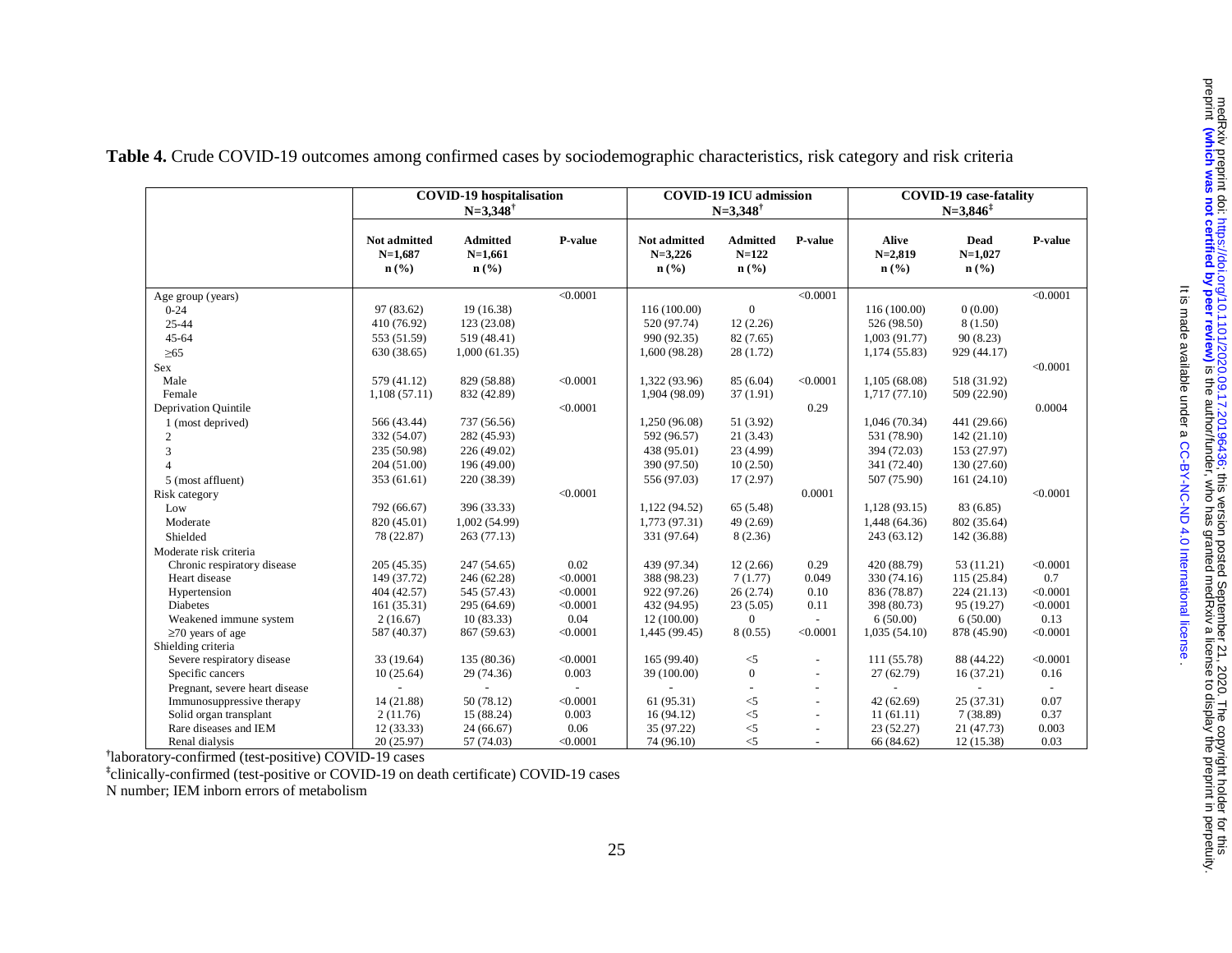|                                | <b>COVID-19</b> hospitalisation                          |                                                             | <b>COVID-19 ICU admission</b><br>$N = 3,348^{\dagger}$ |                                                            | <b>COVID-19</b> case-fatality<br>$N = 3.846^{\ddagger}$ |                          |                                                          |                                                  |          |
|--------------------------------|----------------------------------------------------------|-------------------------------------------------------------|--------------------------------------------------------|------------------------------------------------------------|---------------------------------------------------------|--------------------------|----------------------------------------------------------|--------------------------------------------------|----------|
|                                | Not admitted<br>$N=1,687$<br>$n\left(\frac{0}{0}\right)$ | <b>Admitted</b><br>$N=1,661$<br>$n\left(\frac{0}{0}\right)$ | P-value                                                | Not admitted<br>$N = 3,226$<br>$n\left(\frac{0}{0}\right)$ | <b>Admitted</b><br>$N = 122$<br>n(%)                    | P-value                  | <b>Alive</b><br>$N=2,819$<br>$n\left(\frac{9}{6}\right)$ | Dead<br>$N=1,027$<br>$n\left(\frac{0}{0}\right)$ | P-value  |
| Age group (years)              |                                                          |                                                             | < 0.0001                                               |                                                            |                                                         | < 0.0001                 |                                                          |                                                  | < 0.0001 |
| $0 - 24$                       | 97 (83.62)                                               | 19(16.38)                                                   |                                                        | 116 (100.00)                                               | $\mathbf{0}$                                            |                          | 116 (100.00)                                             | 0(0.00)                                          |          |
| $25 - 44$                      | 410 (76.92)                                              | 123 (23.08)                                                 |                                                        | 520 (97.74)                                                | 12(2.26)                                                |                          | 526 (98.50)                                              | 8(1.50)                                          |          |
| $45 - 64$                      | 553 (51.59)                                              | 519 (48.41)                                                 |                                                        | 990 (92.35)                                                | 82(7.65)                                                |                          | 1,003(91.77)                                             | 90(8.23)                                         |          |
| $\geq 65$                      | 630 (38.65)                                              | 1,000(61.35)                                                |                                                        | 1,600 (98.28)                                              | 28(1.72)                                                |                          | 1,174 (55.83)                                            | 929 (44.17)                                      |          |
| Sex                            |                                                          |                                                             |                                                        |                                                            |                                                         |                          |                                                          |                                                  | < 0.0001 |
| Male                           | 579 (41.12)                                              | 829 (58.88)                                                 | < 0.0001                                               | 1,322 (93.96)                                              | 85 (6.04)                                               | < 0.0001                 | 1,105 (68.08)                                            | 518 (31.92)                                      |          |
| Female                         | 1,108(57.11)                                             | 832 (42.89)                                                 |                                                        | 1,904 (98.09)                                              | 37(1.91)                                                |                          | 1,717(77.10)                                             | 509 (22.90)                                      |          |
| Deprivation Quintile           |                                                          |                                                             | < 0.0001                                               |                                                            |                                                         | 0.29                     |                                                          |                                                  | 0.0004   |
| 1 (most deprived)              | 566 (43.44)                                              | 737 (56.56)                                                 |                                                        | 1,250 (96.08)                                              | 51 (3.92)                                               |                          | 1,046(70.34)                                             | 441 (29.66)                                      |          |
| 2                              | 332 (54.07)                                              | 282 (45.93)                                                 |                                                        | 592 (96.57)                                                | 21(3.43)                                                |                          | 531 (78.90)                                              | 142(21.10)                                       |          |
| 3                              | 235 (50.98)                                              | 226 (49.02)                                                 |                                                        | 438 (95.01)                                                | 23 (4.99)                                               |                          | 394 (72.03)                                              | 153 (27.97)                                      |          |
| $\Delta$                       | 204(51.00)                                               | 196 (49.00)                                                 |                                                        | 390 (97.50)                                                | 10(2.50)                                                |                          | 341 (72.40)                                              | 130 (27.60)                                      |          |
| 5 (most affluent)              | 353 (61.61)                                              | 220 (38.39)                                                 |                                                        | 556 (97.03)                                                | 17(2.97)                                                |                          | 507 (75.90)                                              | 161(24.10)                                       |          |
| Risk category                  |                                                          |                                                             | < 0.0001                                               |                                                            |                                                         | 0.0001                   |                                                          |                                                  | < 0.0001 |
| Low                            | 792 (66.67)                                              | 396 (33.33)                                                 |                                                        | 1,122 (94.52)                                              | 65 (5.48)                                               |                          | 1,128 (93.15)                                            | 83 (6.85)                                        |          |
| Moderate                       | 820 (45.01)                                              | 1,002(54.99)                                                |                                                        | 1,773 (97.31)                                              | 49(2.69)                                                |                          | 1,448 (64.36)                                            | 802 (35.64)                                      |          |
| Shielded                       | 78 (22.87)                                               | 263(77.13)                                                  |                                                        | 331 (97.64)                                                | 8(2.36)                                                 |                          | 243(63.12)                                               | 142 (36.88)                                      |          |
| Moderate risk criteria         |                                                          |                                                             |                                                        |                                                            |                                                         |                          |                                                          |                                                  |          |
| Chronic respiratory disease    | 205(45.35)                                               | 247 (54.65)                                                 | 0.02                                                   | 439 (97.34)                                                | 12(2.66)                                                | 0.29                     | 420 (88.79)                                              | 53(11.21)                                        | < 0.0001 |
| Heart disease                  | 149 (37.72)                                              | 246 (62.28)                                                 | < 0.0001                                               | 388 (98.23)                                                | 7(1.77)                                                 | 0.049                    | 330 (74.16)                                              | 115(25.84)                                       | 0.7      |
| Hypertension                   | 404 (42.57)                                              | 545 (57.43)                                                 | < 0.0001                                               | 922 (97.26)                                                | 26(2.74)                                                | 0.10                     | 836 (78.87)                                              | 224(21.13)                                       | < 0.0001 |
| <b>Diabetes</b>                | 161(35.31)                                               | 295 (64.69)                                                 | < 0.0001                                               | 432 (94.95)                                                | 23(5.05)                                                | 0.11                     | 398 (80.73)                                              | 95 (19.27)                                       | < 0.0001 |
| Weakened immune system         | 2(16.67)                                                 | 10(83.33)                                                   | 0.04                                                   | 12(100.00)                                                 | $\overline{0}$                                          |                          | 6(50.00)                                                 | 6(50.00)                                         | 0.13     |
| $\geq$ 70 years of age         | 587 (40.37)                                              | 867 (59.63)                                                 | < 0.0001                                               | 1,445 (99.45)                                              | 8(0.55)                                                 | < 0.0001                 | 1,035(54.10)                                             | 878 (45.90)                                      | < 0.0001 |
| Shielding criteria             |                                                          |                                                             |                                                        |                                                            |                                                         |                          |                                                          |                                                  |          |
| Severe respiratory disease     | 33 (19.64)                                               | 135 (80.36)                                                 | < 0.0001                                               | 165 (99.40)                                                | $<$ 5                                                   |                          | 111 (55.78)                                              | 88 (44.22)                                       | < 0.0001 |
| Specific cancers               | 10(25.64)                                                | 29 (74.36)                                                  | 0.003                                                  | 39 (100.00)                                                | $\boldsymbol{0}$                                        |                          | 27(62.79)                                                | 16(37.21)                                        | 0.16     |
| Pregnant, severe heart disease |                                                          |                                                             |                                                        |                                                            |                                                         | ä,                       |                                                          |                                                  |          |
| Immunosuppressive therapy      | 14 (21.88)                                               | 50 (78.12)                                                  | < 0.0001                                               | 61(95.31)                                                  | $<$ 5                                                   | $\overline{\phantom{a}}$ | 42(62.69)                                                | 25(37.31)                                        | 0.07     |
| Solid organ transplant         | 2(11.76)                                                 | 15 (88.24)                                                  | 0.003                                                  | 16(94.12)                                                  | $<$ 5                                                   | ÷,                       | 11(61.11)                                                | 7(38.89)                                         | 0.37     |
| Rare diseases and IEM          | 12(33.33)                                                | 24(66.67)                                                   | 0.06                                                   | 35 (97.22)                                                 | $<$ 5                                                   | $\blacksquare$           | 23(52.27)                                                | 21 (47.73)                                       | 0.003    |
| Renal dialysis                 | 20(25.97)                                                | 57 (74.03)                                                  | < 0.0001                                               | 74 (96.10)                                                 | $<$ 5                                                   |                          | 66 (84.62)                                               | 12 (15.38)                                       | 0.03     |

**Table 4.** Crude COVID-19 outcomes among confirmed cases by sociodemographic characteristics, risk category and risk criteria

**†**laboratory-confirmed (test-positive) COVID-19 cases

**‡**clinically-confirmed (test-positive or COVID-19 on death certificate) COVID-19 cases

N number; IEM inborn errors of metabolism

. [CC-BY-NC-ND 4.0 International license](http://creativecommons.org/licenses/by-nc-nd/4.0/) It is made available under a

It is made available under a CC-BY-NC-ND 4.0 International license